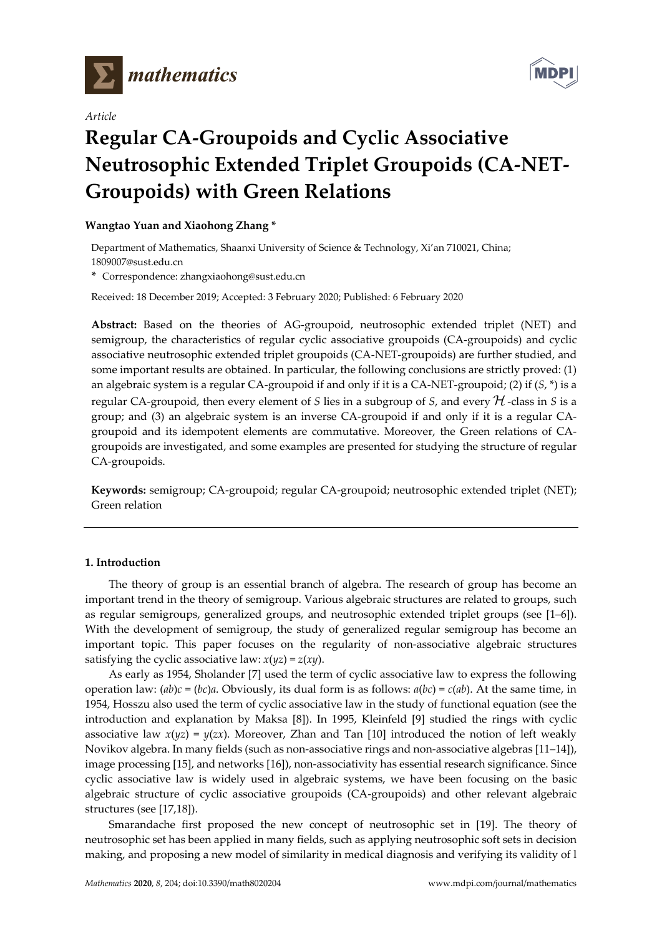

*Article*



# **Regular CA-Groupoids and Cyclic Associative Neutrosophic Extended Triplet Groupoids (CA-NET-Groupoids) with Green Relations**

# **Wangtao Yuan and Xiaohong Zhang \***

Department of Mathematics, Shaanxi University of Science & Technology, Xi'an 710021, China; 1809007@sust.edu.cn

**\*** Correspondence: zhangxiaohong@sust.edu.cn

Received: 18 December 2019; Accepted: 3 February 2020; Published: 6 February 2020

**Abstract:** Based on the theories of AG-groupoid, neutrosophic extended triplet (NET) and semigroup, the characteristics of regular cyclic associative groupoids (CA-groupoids) and cyclic associative neutrosophic extended triplet groupoids (CA-NET-groupoids) are further studied, and some important results are obtained. In particular, the following conclusions are strictly proved: (1) an algebraic system is a regular CA-groupoid if and only if it is a CA-NET-groupoid; (2) if (*S*, \*) is a regular CA-groupoid, then every element of *S* lies in a subgroup of *S*, and every  $H$ -class in *S* is a group; and (3) an algebraic system is an inverse CA-groupoid if and only if it is a regular CAgroupoid and its idempotent elements are commutative. Moreover, the Green relations of CAgroupoids are investigated, and some examples are presented for studying the structure of regular CA-groupoids.

**Keywords:** semigroup; CA-groupoid; regular CA-groupoid; neutrosophic extended triplet (NET); Green relation

## **1. Introduction**

The theory of group is an essential branch of algebra. The research of group has become an important trend in the theory of semigroup. Various algebraic structures are related to groups, such as regular semigroups, generalized groups, and neutrosophic extended triplet groups (see [1–6]). With the development of semigroup, the study of generalized regular semigroup has become an important topic. This paper focuses on the regularity of non-associative algebraic structures satisfying the cyclic associative law:  $x(yz) = z(xy)$ .

As early as 1954, Sholander [7] used the term of cyclic associative law to express the following operation law:  $(ab)c = (bc)a$ . Obviously, its dual form is as follows:  $a(bc) = c(ab)$ . At the same time, in 1954, Hosszu also used the term of cyclic associative law in the study of functional equation (see the introduction and explanation by Maksa [8]). In 1995, Kleinfeld [9] studied the rings with cyclic associative law  $x(yz) = y(zx)$ . Moreover, Zhan and Tan [10] introduced the notion of left weakly Novikov algebra. In many fields (such as non-associative rings and non-associative algebras [11–14]), image processing [15], and networks [16]), non-associativity has essential research significance. Since cyclic associative law is widely used in algebraic systems, we have been focusing on the basic algebraic structure of cyclic associative groupoids (CA-groupoids) and other relevant algebraic structures (see [17,18]).

Smarandache first proposed the new concept of neutrosophic set in [19]. The theory of neutrosophic set has been applied in many fields, such as applying neutrosophic soft sets in decision making, and proposing a new model of similarity in medical diagnosis and verifying its validity of l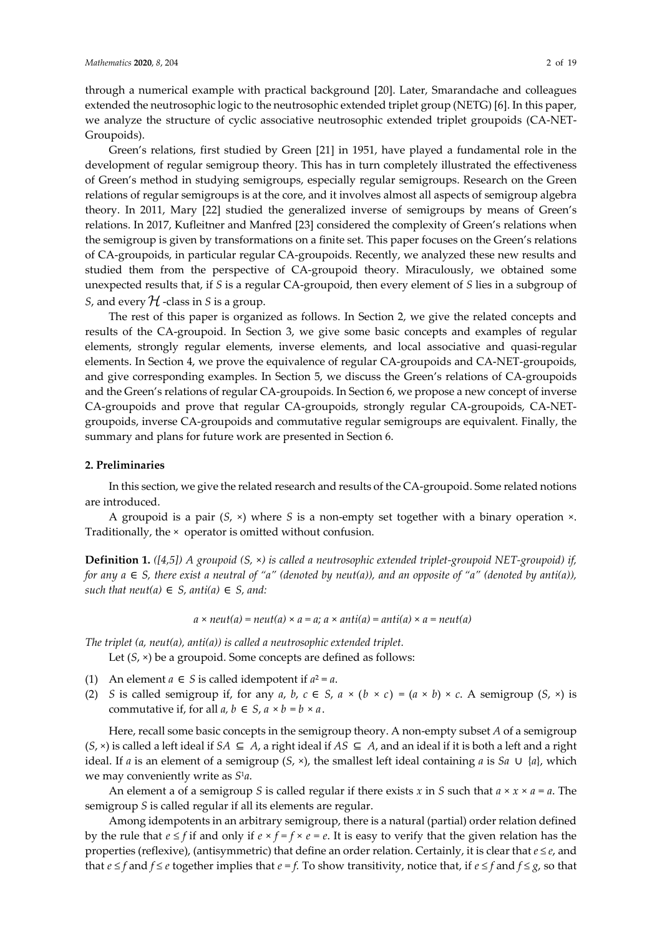#### *Mathematics* **2020**, *8*, 204 2 of 19

through a numerical example with practical background [20]. Later, Smarandache and colleagues extended the neutrosophic logic to the neutrosophic extended triplet group (NETG) [6]. In this paper, we analyze the structure of cyclic associative neutrosophic extended triplet groupoids (CA-NET-Groupoids).

Green's relations, first studied by Green [21] in 1951, have played a fundamental role in the development of regular semigroup theory. This has in turn completely illustrated the effectiveness of Green's method in studying semigroups, especially regular semigroups. Research on the Green relations of regular semigroups is at the core, and it involves almost all aspects of semigroup algebra theory. In 2011, Mary [22] studied the generalized inverse of semigroups by means of Green's relations. In 2017, Kufleitner and Manfred [23] considered the complexity of Green's relations when the semigroup is given by transformations on a finite set. This paper focuses on the Green's relations of CA-groupoids, in particular regular CA-groupoids. Recently, we analyzed these new results and studied them from the perspective of CA-groupoid theory. Miraculously, we obtained some unexpected results that, if *S* is a regular CA-groupoid, then every element of *S* lies in a subgroup of *S*, and every  $H$  -class in *S* is a group.

The rest of this paper is organized as follows. In Section 2, we give the related concepts and results of the CA-groupoid. In Section 3, we give some basic concepts and examples of regular elements, strongly regular elements, inverse elements, and local associative and quasi-regular elements. In Section 4, we prove the equivalence of regular CA-groupoids and CA-NET-groupoids, and give corresponding examples. In Section 5, we discuss the Green's relations of CA-groupoids and the Green's relations of regular CA-groupoids. In Section 6, we propose a new concept of inverse CA-groupoids and prove that regular CA-groupoids, strongly regular CA-groupoids, CA-NETgroupoids, inverse CA-groupoids and commutative regular semigroups are equivalent. Finally, the summary and plans for future work are presented in Section 6.

#### **2. Preliminaries**

In this section, we give the related research and results of the CA-groupoid. Some related notions are introduced.

A groupoid is a pair (*S*, ×) where *S* is a non-empty set together with a binary operation ×. Traditionally, the × operator is omitted without confusion.

**Definition 1.** *([4,5]) A groupoid (S,* ×*) is called a neutrosophic extended triplet-groupoid NET-groupoid) if, for any a*  $\in$  *S, there exist a neutral of "a" (denoted by neut(a)), and an opposite of "a" (denoted by anti(a)), such that neut(a)*  $\in$  *S, anti(a)*  $\in$  *S, and:* 

$$
a \times neut(a) = neut(a) \times a = a
$$
;  $a \times anti(a) = anti(a) \times a = neut(a)$ 

*The triplet (a, neut(a), anti(a)) is called a neutrosophic extended triplet.*

Let (*S*, ×) be a groupoid. Some concepts are defined as follows:

- (1) An element  $a \in S$  is called idempotent if  $a^2 = a$ .
- (2) *S* is called semigroup if, for any *a*, *b*,  $c \in S$ ,  $a \times (b \times c) = (a \times b) \times c$ . A semigroup (*S*,  $\times$ ) is commutative if, for all  $a, b \in S$ ,  $a \times b = b \times a$ .

Here, recall some basic concepts in the semigroup theory. A non-empty subset *A* of a semigroup  $(S, \times)$  is called a left ideal if  $SA ⊆ A$ , a right ideal if  $AS ⊆ A$ , and an ideal if it is both a left and a right ideal. If *a* is an element of a semigroup  $(S, \times)$ , the smallest left ideal containing *a* is *Sa* ∪ {*a*}, which we may conveniently write as *S*1*a*.

An element a of a semigroup *S* is called regular if there exists *x* in *S* such that  $a \times x \times a = a$ . The semigroup *S* is called regular if all its elements are regular.

Among idempotents in an arbitrary semigroup, there is a natural (partial) order relation defined by the rule that  $e \leq f$  if and only if  $e \times f = f \times e = e$ . It is easy to verify that the given relation has the properties (reflexive), (antisymmetric) that define an order relation. Certainly, it is clear that *e ≤ e*, and that  $e \leq f$  and  $f \leq e$  together implies that  $e = f$ . To show transitivity, notice that, if  $e \leq f$  and  $f \leq g$ , so that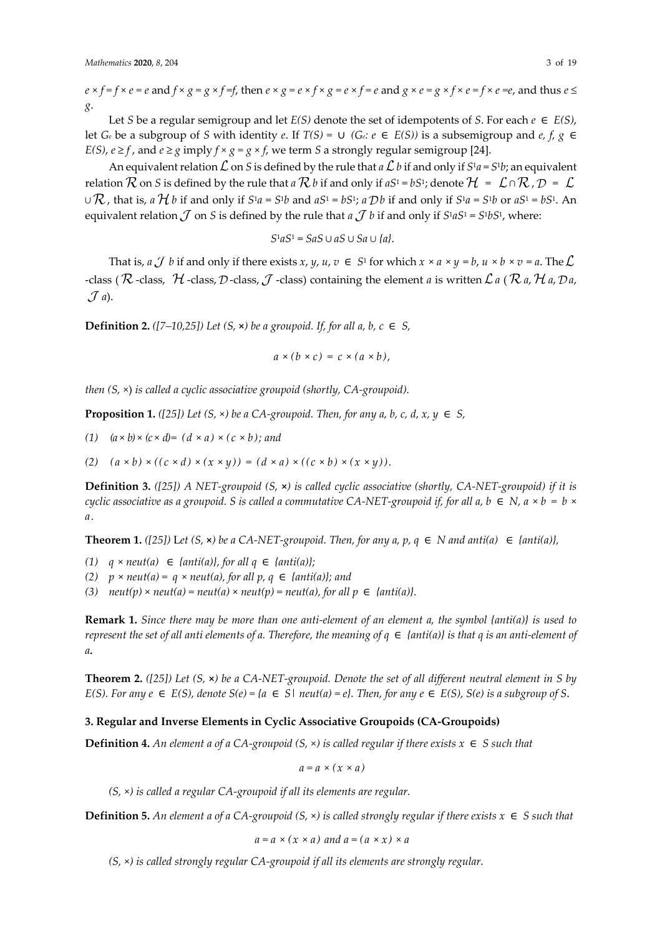$e \times f = f \times e = e$  and  $f \times g = g \times f = f$ , then  $e \times g = e \times f \times g = e \times f = e$  and  $g \times e = g \times f \times e = f \times e = e$ , and thus  $e \le$ *g*.

Let *S* be a regular semigroup and let  $E(S)$  denote the set of idempotents of *S*. For each  $e \in E(S)$ , let  $G_e$  be a subgroup of *S* with identity  $e$ . If  $T(S) = \bigcup (G_e : e \in E(S))$  is a subsemigroup and  $e, f, g \in E(S)$ *E(S)*,  $e \ge f$ , and  $e \ge g$  imply  $f \times g = g \times f$ , we term *S* a strongly regular semigroup [24].

An equivalent relation  $\mathcal L$  on *S* is defined by the rule that  $a\mathcal L$  *b* if and only if  $S^1a = S^1b$ ; an equivalent relation  $\cal K$  on *S* is defined by the rule that *a*  $\cal K$  *b* if and only if *aS*<sup>1</sup> = *bS*<sup>1</sup>; denote  $\cal H$  =  $\cal L \cap \cal K$  ,  $\cal D$  = *∪ K*, that is, *a H b* if and only if *S*<sup>1</sup>*a* = *S*<sup>1</sup>*b* and *aS*<sup>1</sup> = *bS*<sup>1</sup>; *a D b* if and only if *S*<sup>1</sup>*a* = *S*<sup>1</sup>*b* or *aS*<sup>1</sup> = *bS*<sup>1</sup>. An equivalent relation  $\mathcal J$  on *S* is defined by the rule that  $a \mathcal J$  b if and only if  $S^1aS^1 = S^1bS^1$ , where:

$$
S^1 a S^1 = S a S \cup a S \cup S a \cup \{a\}.
$$

That is,  $a \mathcal{J} b$  if and only if there exists  $x, y, u, v \in S^1$  for which  $x \times a \times y = b$ ,  $u \times b \times v = a$ . The -class (  $\mathcal R$  -class,  $\mathcal H$  -class,  $\mathcal D$  -class,  $\mathcal J$  -class) containing the element *a* is written  $\mathcal L$  *a* (  $\mathcal R$  *a*,  $\mathcal H$  *a*,  $\mathcal D$  *a*,  $\mathcal{J}$  a).

**Definition 2.**  $([7-10,25])$  Let  $(S, \times)$  be a groupoid. If, for all a, b,  $c \in S$ ,

$$
a \times (b \times c) = c \times (a \times b),
$$

*then (S,* ×) *is called a cyclic associative groupoid (shortly, CA-groupoid).*

**Proposition 1.** *([25])* Let  $(S, \times)$  be a CA-groupoid. Then, for any a, b, c, d, x,  $y \in S$ ,

- (1)  $(a \times b) \times (c \times d) = (d \times a) \times (c \times b)$ ; and
- (2)  $(a \times b) \times ((c \times d) \times (x \times y)) = (d \times a) \times ((c \times b) \times (x \times y)).$

**Definition 3.** *([25]) A NET-groupoid (S,* **×***) is called cyclic associative (shortly, CA-NET-groupoid) if it is cyclic associative as a groupoid. S is called a commutative CA-NET-groupoid if, for all a, b*  $\in$  *N, a*  $\times$  *b* = *b*  $\times$ *a.*

**Theorem 1.** *(*[25]) Let  $(S, \times)$  be a CA-NET-groupoid. Then, for any a, p, q ∈ *N* and anti(a) ∈ {anti(a)},

- *(1) q* × *neut(a)* ∈ *{anti(a)}, for all q* ∈ *{anti(a)};*
- *(2)*  $p \times \text{neut}(a) = q \times \text{neut}(a)$ , for all  $p, q \in \{\text{anti}(a)\};$  and
- (3)  $neut(p) \times neut(a) = neut(a) \times neut(p) = neut(a)$ , for all  $p \in \{anti(a) \}$ .

**Remark 1.** *Since there may be more than one anti-element of an element a, the symbol {anti(a)} is used to represent the set of all anti elements of a. Therefore, the meaning of*  $q \in \{anti(a)\}$  *is that q is an anti-element of a.*

**Theorem 2.** *([25]) Let (S,* **×***) be a CA-NET-groupoid. Denote the set of all different neutral element in S by E(S). For any e* ∈ *E(S), denote*  $S(e) = \{a \in S | \text{neut}(a) = e\}$ . Then, for any  $e \in E(S)$ ,  $S(e)$  is a subgroup of S.

# **3. Regular and Inverse Elements in Cyclic Associative Groupoids (CA-Groupoids)**

**Definition 4.** An element a of a CA-groupoid  $(S, \times)$  is called regular if there exists  $x \in S$  such that

$$
a=a\times(x\times a)
$$

*(S,* ×*) is called a regular CA-groupoid if all its elements are regular.*

**Definition 5.** An element a of a CA-groupoid  $(S, \times)$  is called strongly regular if there exists  $x \in S$  such that

$$
a = a \times (x \times a)
$$
 and  $a = (a \times x) \times a$ 

*(S,* ×*) is called strongly regular CA-groupoid if all its elements are strongly regular.*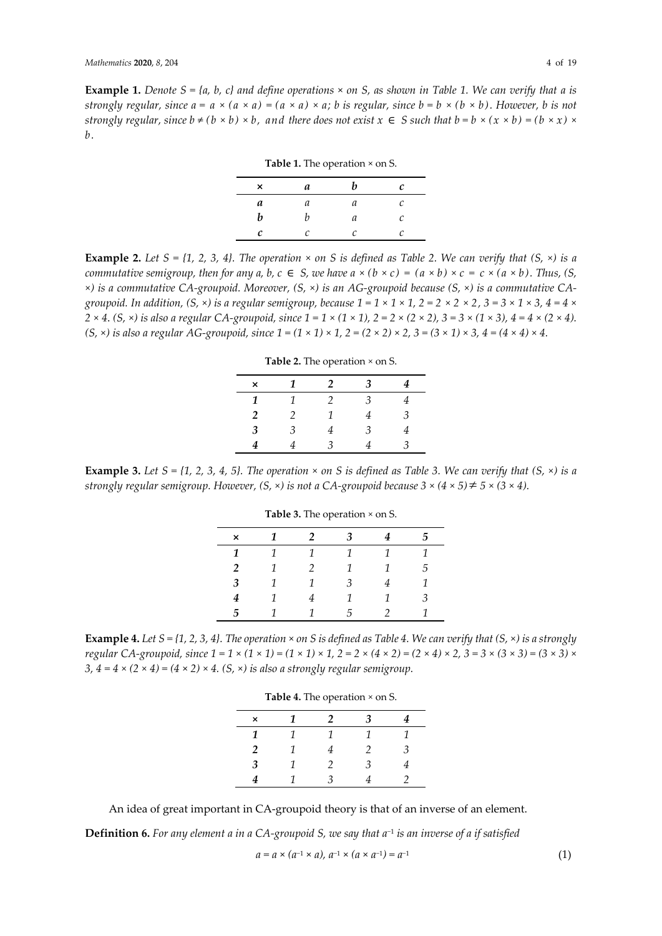**Example 1.** Denote  $S = \{a, b, c\}$  and define operations  $\times$  on S, as shown in Table 1. We can verify that a is strongly regular, since  $a = a \times (a \times a) = (a \times a) \times a$ ; b is regular, since  $b = b \times (b \times b)$ . However, b is not strongly regular, since  $b \neq (b \times b) \times b$ , and there does not exist  $x \in S$  such that  $b = b \times (x \times b) = (b \times x) \times$ *b.*

**Table 1.** The operation × on S.

| <b>rable 1.</b> The operation $\times$ on 5. |   |   |   |  |  |
|----------------------------------------------|---|---|---|--|--|
| ×                                            | a | h | c |  |  |
| a                                            | а | а | C |  |  |
| b                                            |   | a | C |  |  |
| c                                            | C | r | C |  |  |

**Example 2.** Let  $S = \{1, 2, 3, 4\}$ . The operation  $\times$  on S is defined as Table 2. We can verify that  $(S, \times)$  is a commutative semigroup, then for any a, b,  $c \in S$ , we have  $a \times (b \times c) = (a \times b) \times c = c \times (a \times b)$ . Thus, (S, *×) is a commutative CA-groupoid. Moreover, (S, ×) is an AG-groupoid because (S, ×) is a commutative CA*groupoid. In addition,  $(S, \times)$  is a regular semigroup, because  $1 = 1 \times 1 \times 1$ ,  $2 = 2 \times 2 \times 2$ ,  $3 = 3 \times 1 \times 3$ ,  $4 = 4 \times 3$  $2 \times 4$ . (S,  $\times$ ) is also a regular CA-groupoid, since  $1 = 1 \times (1 \times 1)$ ,  $2 = 2 \times (2 \times 2)$ ,  $3 = 3 \times (1 \times 3)$ ,  $4 = 4 \times (2 \times 4)$ .  $(S, \times)$  is also a regular AG-groupoid, since  $1 = (1 \times 1) \times 1$ ,  $2 = (2 \times 2) \times 2$ ,  $3 = (3 \times 1) \times 3$ ,  $4 = (4 \times 4) \times 4$ .

| Table 2. The operation $\times$ on S. |               |  |   |   |  |  |
|---------------------------------------|---------------|--|---|---|--|--|
| ×                                     |               |  |   |   |  |  |
|                                       |               |  | 3 |   |  |  |
| 2                                     | $\mathcal{P}$ |  |   | З |  |  |
| 3                                     | 3             |  | З |   |  |  |
|                                       |               |  |   |   |  |  |

**Example 3.** Let  $S = \{1, 2, 3, 4, 5\}$ . The operation  $\times$  on S is defined as Table 3. We can verify that  $(S, \times)$  is a *strongly regular semigroup. However, (S, ×) is not a CA-groupoid because 3 × (4 × 5) 5 × (3 × 4).*

| $\times$       | $\mathbf{1}$   | $\overline{2}$ | $\mathbf{3}$   | 4              | 5. |
|----------------|----------------|----------------|----------------|----------------|----|
| $\mathbf{1}$   | $\overline{1}$ | $\mathcal{I}$  | $\overline{1}$ | $\overline{1}$ | 1  |
| $\overline{2}$ | $\mathcal{I}$  | $\mathcal{P}$  | $\mathcal{I}$  | 1              | 5  |
| 3              | $\mathcal{I}$  | 1              | $-3$           | 4              | 1  |
| 4              | 1              | 4              | 1              | 1              | 3  |
| 5              |                |                | $5^{\circ}$    | $\mathcal{P}$  |    |

**Table 3.** The operation *×* on S.

**Example 4.** Let  $S = \{1, 2, 3, 4\}$ . The operation  $\times$  on S is defined as Table 4. We can verify that  $(S, \times)$  is a strongly regular CA-groupoid, since  $1 = 1 \times (1 \times 1) = (1 \times 1) \times 1$ ,  $2 = 2 \times (4 \times 2) = (2 \times 4) \times 2$ ,  $3 = 3 \times (3 \times 3) = (3 \times 3) \times$ *3,*  $4 = 4 \times (2 \times 4) = (4 \times 2) \times 4$ . (S,  $\times$ ) *is also a strongly regular semigroup.* 

| Table 4. The operation $\times$ on S. |  |   |   |   |  |  |
|---------------------------------------|--|---|---|---|--|--|
| ×                                     |  |   |   |   |  |  |
|                                       |  |   |   |   |  |  |
| 2                                     |  |   | 2 | 3 |  |  |
| 3                                     |  | 2 | 3 |   |  |  |
|                                       |  |   |   |   |  |  |

An idea of great important in CA-groupoid theory is that of an inverse of an element.

**Definition 6.** *For any element a in a CA-groupoid S, we say that a−*<sup>1</sup> *is an inverse of a if satisfied*

$$
a = a \times (a^{-1} \times a), \ a^{-1} \times (a \times a^{-1}) = a^{-1}
$$
 (1)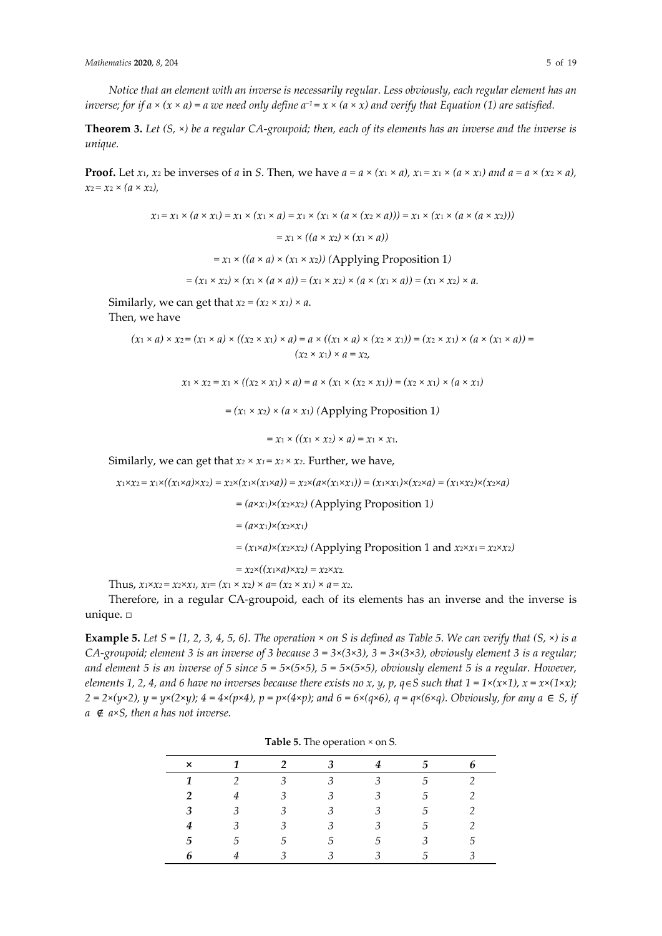*Notice that an element with an inverse is necessarily regular. Less obviously, each regular element has an inverse; for if a*  $\times$  ( $x \times a$ ) = *a we need only define*  $a^{-1} = x \times (a \times x)$  *and verify that Equation* (1) *are satisfied.* 

**Theorem 3.** *Let (S, ×) be a regular CA-groupoid; then, each of its elements has an inverse and the inverse is unique.*

**Proof.** Let *x*<sub>1</sub>, *x*<sub>2</sub> be inverses of *a* in *S*. Then, we have  $a = a \times (x_1 \times a)$ ,  $x_1 = x_1 \times (a \times x_1)$  and  $a = a \times (x_2 \times a)$ ,  $x_2 = x_2 \times (a \times x_2)$ ,

$$
x_1 = x_1 \times (a \times x_1) = x_1 \times (x_1 \times a) = x_1 \times (x_1 \times (a \times (x_2 \times a))) = x_1 \times (x_1 \times (a \times (a \times x_2)))
$$
  
=  $x_1 \times ((a \times x_2) \times (x_1 \times a))$   
=  $x_1 \times ((a \times a) \times (x_1 \times x_2))$  (Applying Proposition 1)  
=  $(x_1 \times x_2) \times (x_1 \times (a \times a)) = (x_1 \times x_2) \times (a \times (x_1 \times a)) = (x_1 \times x_2) \times a$ .

Similarly, we can get that  $x_2 = (x_2 \times x_1) \times a$ .

Then, we have

$$
(x_1 \times a) \times x_2 = (x_1 \times a) \times ((x_2 \times x_1) \times a) = a \times ((x_1 \times a) \times (x_2 \times x_1)) = (x_2 \times x_1) \times (a \times (x_1 \times a)) = (x_2 \times x_1) \times a = x_2,
$$

 $x_1 \times x_2 = x_1 \times ((x_2 \times x_1) \times a) = a \times (x_1 \times (x_2 \times x_1)) = (x_2 \times x_1) \times (a \times x_1)$ 

 $=(x_1 \times x_2) \times (a \times x_1)$  (Applying Proposition 1)

$$
= x_1 \times ((x_1 \times x_2) \times a) = x_1 \times x_1.
$$

Similarly, we can get that  $x_2 \times x_1 = x_2 \times x_2$ . Further, we have,

 $x_1 \times x_2 = x_1 \times ((x_1 \times a) \times x_2) = x_2 \times (x_1 \times (x_1 \times a)) = x_2 \times (a \times (x_1 \times x_1)) = (x_1 \times x_1) \times (x_2 \times a) = (x_1 \times x_2) \times (x_2 \times a)$  $=(a \times x_1) \times (x_2 \times x_2)$  *(Applying Proposition 1)*  $= (axx_1) \times (x_2 \times x_1)$  $=(x_1 \times a) \times (x_2 \times x_2)$  *(Applying Proposition 1 and*  $x_2 \times x_1 = x_2 \times x_2$ *)*  $= x_2 \times ((x_1 \times a) \times x_2) = x_2 \times x_2.$ Thus,  $x_1 \times x_2 = x_2 \times x_1$ ,  $x_1 = (x_1 \times x_2) \times a = (x_2 \times x_1) \times a = x_2$ .

Therefore, in a regular CA-groupoid, each of its elements has an inverse and the inverse is unique. □

**Example 5.** Let  $S = \{1, 2, 3, 4, 5, 6\}$ . The operation  $\times$  on S is defined as Table 5. We can verify that  $(S, \times)$  is a *CA-groupoid; element* 3 *is an inverse of* 3 *because*  $3 = 3 \times (3 \times 3)$ ,  $3 = 3 \times (3 \times 3)$ , *obviously element* 3 *is a regular;* and element 5 is an inverse of 5 since  $5 = 5 \times (5 \times 5)$ ,  $5 = 5 \times (5 \times 5)$ , obviously element 5 is a regular. However, *elements* 1, 2, 4, and 6 have no inverses because there exists no x, y, p,  $q \in S$  such that  $1 = 1 \times (x \times 1)$ ,  $x = x \times (1 \times x)$ ;  $2 = 2 \times (y \times 2)$ ,  $y = y \times (2 \times y)$ ;  $4 = 4 \times (p \times 4)$ ,  $p = p \times (4 \times p)$ ; and  $6 = 6 \times (q \times 6)$ ,  $q = q \times (6 \times q)$ . Obviously, for any  $a \in S$ , if *a* ∉ *a×S, then a has not inverse.*

|   |   |               | $\frac{1}{2}$ |   |               |              |
|---|---|---------------|---------------|---|---------------|--------------|
| × |   |               | 3             |   |               |              |
|   |   | 3             | 3             | 3 |               |              |
|   |   | $\mathcal{E}$ | 3             | 3 | 5.            |              |
| 3 | 3 | 3             | 3             | 3 | $\mathcal{F}$ |              |
| 4 | 3 | 3             | 3             | 3 | .5            |              |
| 5 | G | .5            | .5            | G |               | b.           |
|   |   |               | 2             | 3 |               | $\mathbf{z}$ |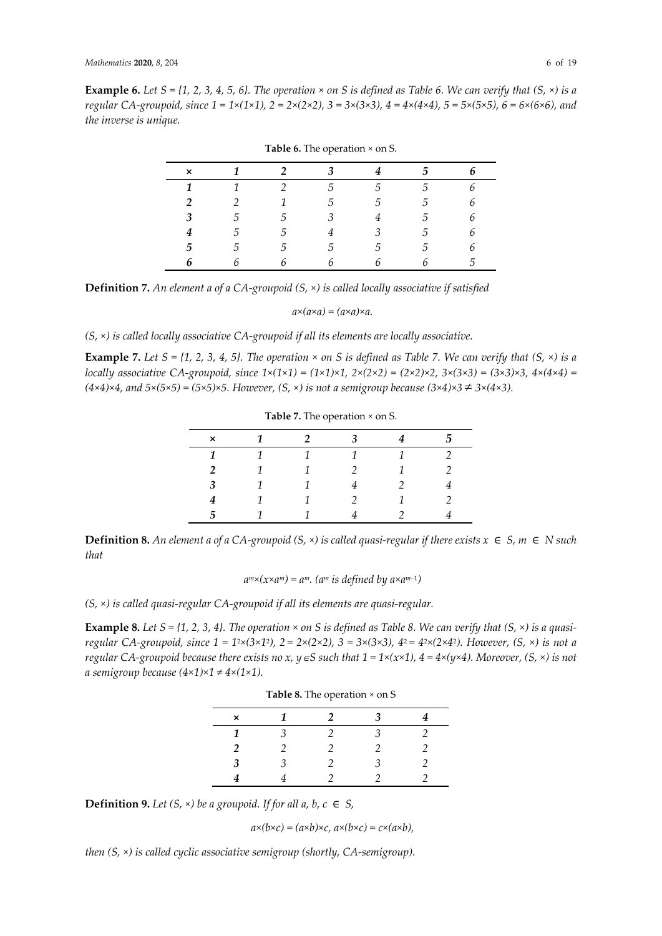**Example 6.** Let  $S = \{1, 2, 3, 4, 5, 6\}$ . The operation  $\times$  on S is defined as Table 6. We can verify that  $(S, \times)$  is a *regular CA-groupoid, since 1 = 1×(1×1), 2 = 2×(2×2), 3 = 3×(3×3), 4 = 4×(4×4), 5 = 5×(5×5), 6 = 6×(6×6), and the inverse is unique.*

| $\boldsymbol{\mathsf{x}}$ | $\mathbf{1}$   | $\overline{\mathbf{c}}$ | 3 <sup>1</sup> | $\overline{4}$  | 5. |   |
|---------------------------|----------------|-------------------------|----------------|-----------------|----|---|
| 1                         | $\mathcal{I}$  | $\overline{2}$          | 5              | $5\overline{)}$ | 5  |   |
| $\mathcal{P}$             | $\overline{2}$ | $\mathcal{I}$           | 5              | $-5$            | 5  | 6 |
| 3                         | 5.             | .5                      | $\mathcal{E}$  | 4               | 5. | ĥ |
| 4                         | 5              | 5                       | 4              | $\mathcal{Z}$   | 5  | ĥ |
| 5                         | 5.             | 5                       | $5^{\circ}$    | $-5$            | 5  | ĥ |
|                           |                | 6                       |                | h               |    | 5 |

| <b>Table 6.</b> The operation $\times$ on S. |  |  |
|----------------------------------------------|--|--|
|----------------------------------------------|--|--|

**Definition 7.** *An element a of a CA-groupoid (S, ×) is called locally associative if satisfied*

*a×(a×a) = (a×a)×a.*

*(S, ×) is called locally associative CA-groupoid if all its elements are locally associative.*

**Example 7.** Let  $S = \{1, 2, 3, 4, 5\}$ . The operation  $\times$  on S is defined as Table 7. We can verify that  $(S, \times)$  is a *locally associative* CA-groupoid, since  $1 \times (1 \times 1) = (1 \times 1) \times 1$ ,  $2 \times (2 \times 2) = (2 \times 2) \times 2$ ,  $3 \times (3 \times 3) = (3 \times 3) \times 3$ ,  $4 \times (4 \times 4) =$ *(4×4)×4, and 5×(5×5) = (5×5)×5. However, (S, ×) is not a semigroup because (3×4)×3 3×(4×3).*

| $\frac{1}{2}$ |  |  |  |  |  |  |  |
|---------------|--|--|--|--|--|--|--|
| ×             |  |  |  |  |  |  |  |
|               |  |  |  |  |  |  |  |
| 2             |  |  |  |  |  |  |  |
| 3             |  |  |  |  |  |  |  |
|               |  |  |  |  |  |  |  |
| 5             |  |  |  |  |  |  |  |

**Table 7.** The operation *×* on S.

**Definition 8.** An element a of a CA-groupoid (S,  $\times$ ) is called quasi-regular if there exists  $x \in S$ ,  $m \in N$  such *that* 

*a <sup>m</sup>×(x×a <sup>m</sup>) = am. (a<sup>m</sup> is defined by a×a m−*1 *)*

*(S, ×) is called quasi-regular CA-groupoid if all its elements are quasi-regular.*

**Example 8.** Let  $S = \{1, 2, 3, 4\}$ . The operation  $\times$  on S is defined as Table 8. We can verify that  $(S, \times)$  is a quasiregular CA-groupoid, since  $1 = 1^{2 \times} (3 \times 1^2)$ ,  $2 = 2 \times (2 \times 2)$ ,  $3 = 3 \times (3 \times 3)$ ,  $4^{2} = 4^{2 \times} (2 \times 4^2)$ . However,  $(S, \times)$  is not a *regular* CA-groupoid because there exists no x,  $y \in S$  such that  $1 = 1 \times (x \times 1)$ ,  $4 = 4 \times (y \times 4)$ . Moreover,  $(S, \times)$  is not *a semigroup because (4×1)×1 ≠ 4×(1×1).*

**Table 8.** The operation *×* on S

| $\times$       | 1 | $\mathcal{P}$ | 3       |   |
|----------------|---|---------------|---------|---|
| 1              | 3 | $\mathcal{P}$ | $\beta$ |   |
| $\overline{2}$ | 2 |               | 2       | 2 |
| $\mathbf{3}$   | 3 | 2             | 3       |   |
|                |   |               |         |   |

**Definition 9.** Let  $(S, \times)$  be a groupoid. If for all a, b,  $c \in S$ ,

 $a\times(b\times c) = (a\times b)\times c$ ,  $a\times(b\times c) = c\times(a\times b)$ ,

*then (S, ×) is called cyclic associative semigroup (shortly, CA-semigroup).*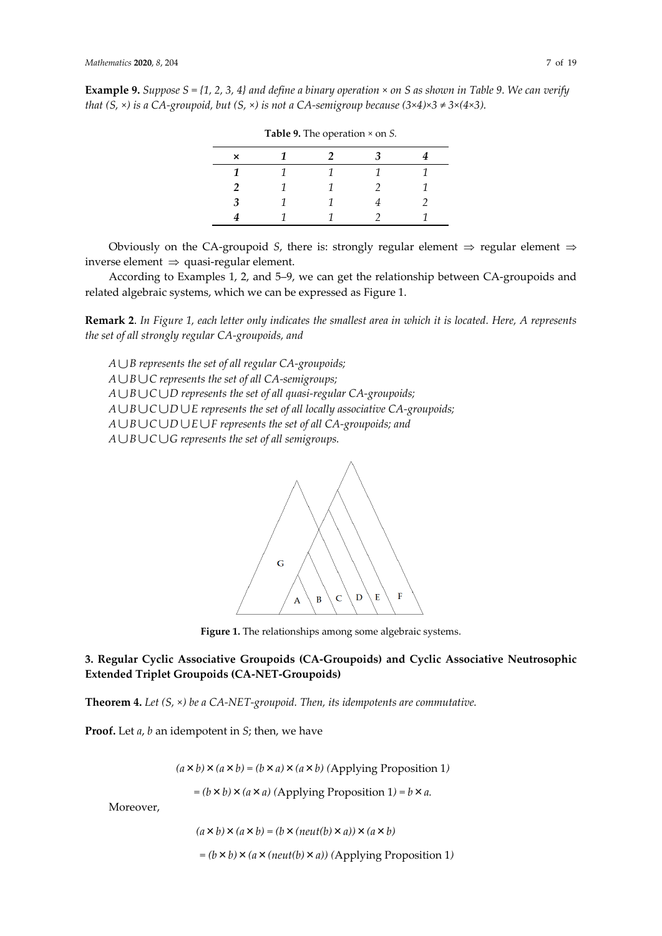**Example 9.** *Suppose S = {1, 2, 3, 4} and define a binary operation × on S as shown in Table 9. We can verify that (S, ×) is a CA-groupoid, but (S, ×) is not a CA-semigroup because (3×4)×3 ≠ 3×(4×3).*

|   | $\frac{1}{2}$ |  |
|---|---------------|--|
| × |               |  |
|   |               |  |
| 2 |               |  |
| 3 |               |  |
|   |               |  |

**Table 9.** The operation *×* on *S.*

Obviously on the CA-groupoid *S*, there is: strongly regular element  $\Rightarrow$  regular element  $\Rightarrow$ inverse element  $\Rightarrow$  quasi-regular element.

According to Examples 1, 2, and 5–9, we can get the relationship between CA-groupoids and related algebraic systems, which we can be expressed as Figure 1.

**Remark 2**. *In Figure 1, each letter only indicates the smallest area in which it is located. Here, A represents the set of all strongly regular CA-groupoids, and*

*A B represents the set of all regular CA-groupoids; A B C represents the set of all CA-semigroups; A B C D represents the set of all quasi-regular CA-groupoids; A B C D E represents the set of all locally associative CA-groupoids; A B C D E F represents the set of all CA-groupoids; and A B C G represents the set of all semigroups.*



**Figure 1.** The relationships among some algebraic systems.

**3. Regular Cyclic Associative Groupoids (CA-Groupoids) and Cyclic Associative Neutrosophic Extended Triplet Groupoids (CA-NET-Groupoids)**

**Theorem 4.** *Let (S, ×) be a CA-NET-groupoid. Then, its idempotents are commutative.*

**Proof.** Let *a*, *b* an idempotent in *S*; then, we have

 $(a \times b) \times (a \times b) = (b \times a) \times (a \times b)$  (Applying Proposition 1)

 $= (b \times b) \times (a \times a)$  (Applying Proposition 1)  $= b \times a$ .

Moreover,

 $(a \times b) \times (a \times b) = (b \times (neut(b) \times a)) \times (a \times b)$ 

 *= (b*×*b)*×*(a*×*(neut(b)*×*a)) (*Applying Proposition 1*)*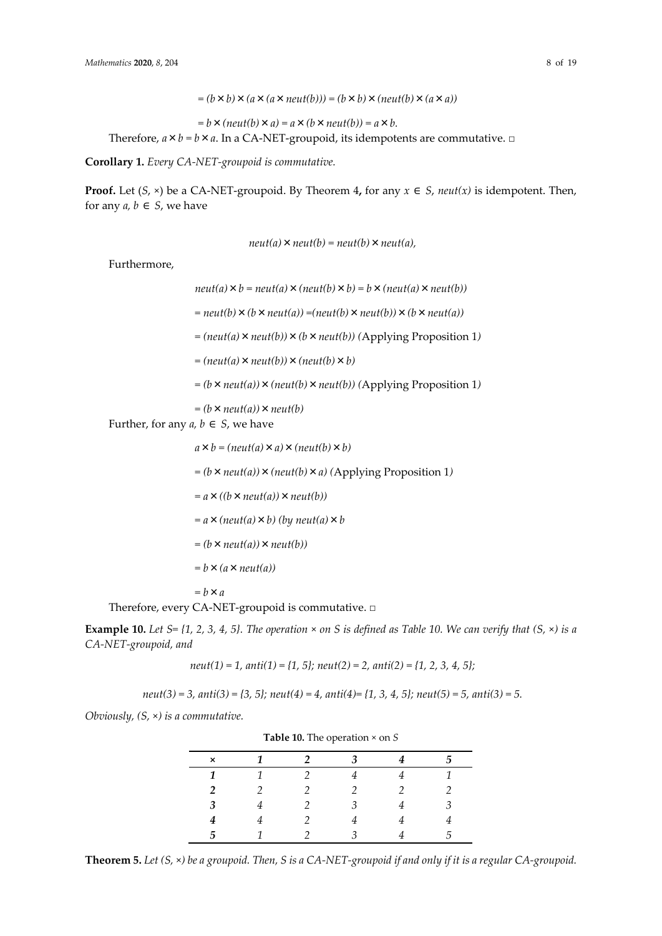*= (b*×*b)*×*(a*×*(a*×*neut(b))) = (b*×*b)*×*(neut(b)*×*(a*×*a))*

 $= b \times (neut(b) \times a) = a \times (b \times neut(b)) = a \times b.$ Therefore,  $a \times b = b \times a$ . In a CA-NET-groupoid, its idempotents are commutative.  $\Box$ 

**Corollary 1.** *Every CA-NET-groupoid is commutative.*

**Proof.** Let  $(S, x)$  be a CA-NET-groupoid. By Theorem 4, for any  $x \in S$ , *neut*(*x*) is idempotent. Then, for any  $a, b \in S$ , we have

 $neut(a) \times neut(b) = neut(b) \times neut(a)$ ,

Furthermore,

 $neut(a) \times b = neut(a) \times (neut(b) \times b) = b \times (neut(a) \times neut(b))$ 

*= neut(b)*×*(b*×*neut(a)) =(neut(b)*×*neut(b))*×*(b*×*neut(a))* 

*= (neut(a)*×*neut(b))*×*(b*×*neut(b)) (*Applying Proposition 1*)*

*= (neut(a)*×*neut(b))*×*(neut(b)*×*b)*

 $= (b \times \text{neut}(a)) \times (\text{neut}(b) \times \text{neut}(b))$  (Applying Proposition 1)

*= (b*×*neut(a))*×*neut(b)*

Further, for any  $a, b \in S$ , we have

 $a \times b = (neut(a) \times a) \times (neut(b) \times b)$ 

 $= (b \times \text{neut}(a)) \times (\text{neut}(b) \times a)$  (Applying Proposition 1)

*= a*×*((b*×*neut(a))*×*neut(b))*

*= a*×*(neut(a)*×*b) (by neut(a)*×*b* 

*= (b*×*neut(a))*×*neut(b))*

*= b*×*(a*×*neut(a))* 

*= b*×*a*

Therefore, every CA-NET-groupoid is commutative. □

**Example 10.** Let  $S = \{1, 2, 3, 4, 5\}$ . The operation  $\times$  on S is defined as Table 10. We can verify that  $(S, \times)$  is a *CA-NET-groupoid, and*

*neut(1) = 1, anti(1) = {1, 5}; neut(2) = 2, anti(2) = {1, 2, 3, 4, 5};*

*neut(3) = 3, anti(3) = {3, 5}; neut(4) = 4, anti(4)= {1, 3, 4, 5}; neut(5) = 5, anti(3) = 5.*

*Obviously, (S,* ×*) is a commutative.*

| <b>Table 10.</b> The operation $\sim$ 011 5 |  |  |  |  |   |  |
|---------------------------------------------|--|--|--|--|---|--|
| ×                                           |  |  |  |  |   |  |
|                                             |  |  |  |  |   |  |
| 2                                           |  |  |  |  |   |  |
| З                                           |  |  |  |  |   |  |
|                                             |  |  |  |  |   |  |
| 5                                           |  |  |  |  | h |  |

**Theorem 5.** *Let (S,* ×*) be a groupoid. Then, S is a CA-NET-groupoid if and only if it is a regular CA-groupoid.*

**Table 10.** The operation × on *S*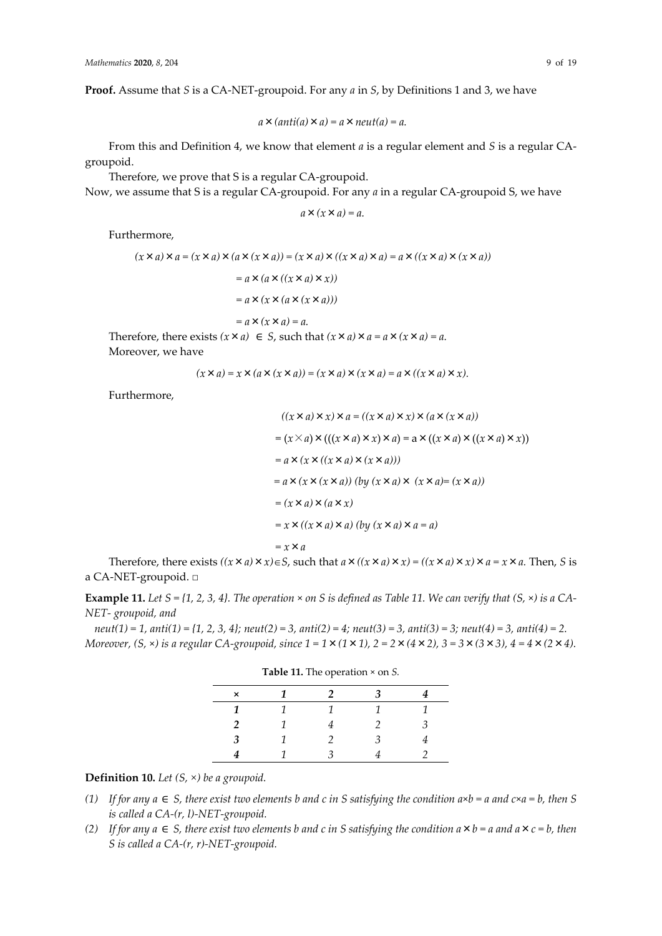**Proof.** Assume that *S* is a CA-NET-groupoid. For any *a* in *S*, by Definitions 1 and 3, we have

$$
a \times (anti(a) \times a) = a \times neut(a) = a.
$$

From this and Definition 4, we know that element *a* is a regular element and *S* is a regular CAgroupoid.

Therefore, we prove that S is a regular CA-groupoid.

Now, we assume that S is a regular CA-groupoid. For any *a* in a regular CA-groupoid S, we have

$$
a \times (x \times a) = a.
$$

Furthermore,

$$
(x \times a) \times a = (x \times a) \times (a \times (x \times a)) = (x \times a) \times ((x \times a) \times a) = a \times ((x \times a) \times (x \times a))
$$
  
=  $a \times (a \times ((x \times a) \times x))$   
=  $a \times (x \times (a \times (x \times a)))$   
=  $a \times (x \times a) = a$ .

Therefore, there exists  $(x \times a) \in S$ , such that  $(x \times a) \times a = a \times (x \times a) = a$ . Moreover, we have

$$
(x \times a) = x \times (a \times (x \times a)) = (x \times a) \times (x \times a) = a \times ((x \times a) \times x).
$$

Furthermore,

$$
((x \times a) \times x) \times a = ((x \times a) \times x) \times (a \times (x \times a))
$$
  
=  $(x \times a) \times (((x \times a) \times x) \times a) = a \times ((x \times a) \times ((x \times a) \times x))$   
=  $a \times (x \times ((x \times a) \times (x \times a)))$   
=  $a \times (x \times (x \times a))$  (by  $(x \times a) \times (x \times a) = (x \times a)$ )  
=  $(x \times a) \times (a \times x)$   
=  $x \times ((x \times a) \times a)$  (by  $(x \times a) \times a = a)$   
=  $x \times a$ 

Therefore, there exists  $((x \times a) \times x) \in S$ , such that  $a \times ((x \times a) \times x) = ((x \times a) \times x) \times a = x \times a$ . Then, *S* is a CA-NET-groupoid. □

**Example 11.** Let  $S = \{1, 2, 3, 4\}$ . The operation  $\times$  on  $S$  is defined as Table 11. We can verify that  $(S, \times)$  is a CA-*NET- groupoid, and*

*neut(1) = 1, anti(1) = {1, 2, 3, 4}; neut(2) = 3, anti(2) = 4; neut(3) = 3, anti(3) = 3; neut(4) = 3, anti(4) = 2. Moreover, (S,* ×*) is a regular CA-groupoid, since 1 = 1*×*(1*×*1), 2 = 2*×*(4*×*2), 3 = 3*×*(3*×*3), 4 = 4*×*(2*×*4).*

| $\times$ | 1 |   |   |
|----------|---|---|---|
| 1        | 1 |   |   |
| 2        | 1 |   | 3 |
| 3        | 1 | 3 |   |
|          |   |   |   |

**Table 11.** The operation × on *S.*

**Definition 10.** *Let (S,* ×*) be a groupoid.*

- *(1)* If for any  $a \in S$ , there exist two elements b and c in S satisfying the condition  $a \times b = a$  and  $c \times a = b$ , then S *is called a CA-(r, l)-NET-groupoid.*
- *(2) If for any a* ∈ *S, there exist two elements b and c in S satisfying the condition a*×*b = a and a*×*c = b, then S is called a CA-(r, r)-NET-groupoid.*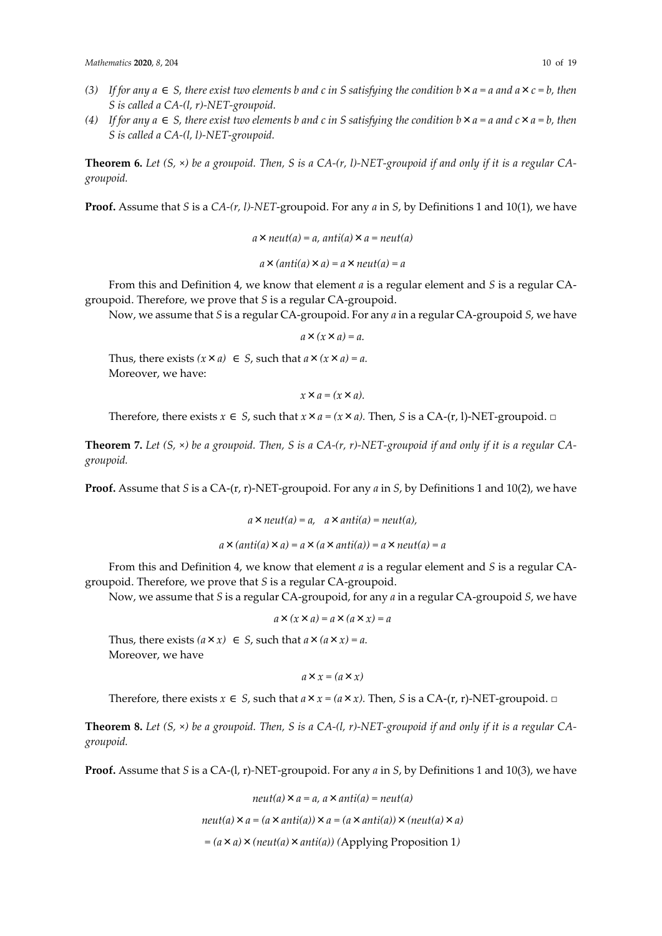- (3) If for any  $a \in S$ , there exist two elements b and c in S satisfying the condition  $b \times a = a$  and  $a \times c = b$ , then *S is called a CA-(l, r)-NET-groupoid.*
- (4) If for any  $a \in S$ , there exist two elements b and c in S satisfying the condition  $b \times a = a$  and  $c \times a = b$ , then *S is called a CA-(l, l)-NET-groupoid.*

**Theorem 6.** *Let (S,* ×*) be a groupoid. Then, S is a CA-(r, l)-NET-groupoid if and only if it is a regular CAgroupoid.*

**Proof.** Assume that *S* is a *CA-(r, l)-NET*-groupoid. For any *a* in *S*, by Definitions 1 and 10(1), we have

```
a \times \text{neut}(a) = a, anti(a) \times a = \text{neut}(a)a×(anti(a)×a) = a×neut(a) = a
```
From this and Definition 4, we know that element *a* is a regular element and *S* is a regular CAgroupoid. Therefore, we prove that *S* is a regular CA-groupoid.

Now, we assume that *S* is a regular CA-groupoid. For any *a* in a regular CA-groupoid *S*, we have

*a*×*(x*×*a) = a.*

Thus, there exists  $(x \times a) \in S$ , such that  $a \times (x \times a) = a$ . Moreover, we have:

 $x \times a = (x \times a)$ .

Therefore, there exists  $x \in S$ , such that  $x \times a = (x \times a)$ . Then, *S* is a CA-(r, l)-NET-groupoid. □

**Theorem 7.** Let  $(S, \times)$  be a groupoid. Then, S is a  $CA-(r, r)$ -NET-groupoid if and only if it is a regular  $CA$ *groupoid.*

**Proof.** Assume that *S* is a CA-(r, r)-NET-groupoid. For any *a* in *S*, by Definitions 1 and 10(2), we have

$$
a \times neut(a) = a
$$
,  $a \times anti(a) = neut(a)$ ,

*a*×*(anti(a)*×*a) = a*×*(a*×*anti(a)) = a*×*neut(a) = a*

From this and Definition 4, we know that element *a* is a regular element and *S* is a regular CAgroupoid. Therefore, we prove that *S* is a regular CA-groupoid.

Now, we assume that *S* is a regular CA-groupoid, for any *a* in a regular CA-groupoid *S*, we have

$$
a \times (x \times a) = a \times (a \times x) = a
$$

Thus, there exists  $(a \times x) \in S$ , such that  $a \times (a \times x) = a$ . Moreover, we have

*a*×*x = (a*×*x)*

Therefore, there exists  $x \in S$ , such that  $a \times x = (a \times x)$ . Then, *S* is a CA-(r, r)-NET-groupoid. □

**Theorem 8.** Let  $(S, \times)$  be a groupoid. Then, S is a CA- $(l, r)$ -NET-groupoid if and only if it is a regular CA*groupoid.* 

**Proof.** Assume that *S* is a CA-(l, r)*-*NET-groupoid. For any *a* in *S*, by Definitions 1 and 10(3), we have

$$
neut(a) \times a = a, a \times anti(a) = neut(a)
$$

$$
neut(a) \times a = (a \times anti(a)) \times a = (a \times anti(a)) \times (neut(a) \times a)
$$

*= (a*×*a)*×*(neut(a)*×*anti(a)) (*Applying Proposition 1*)*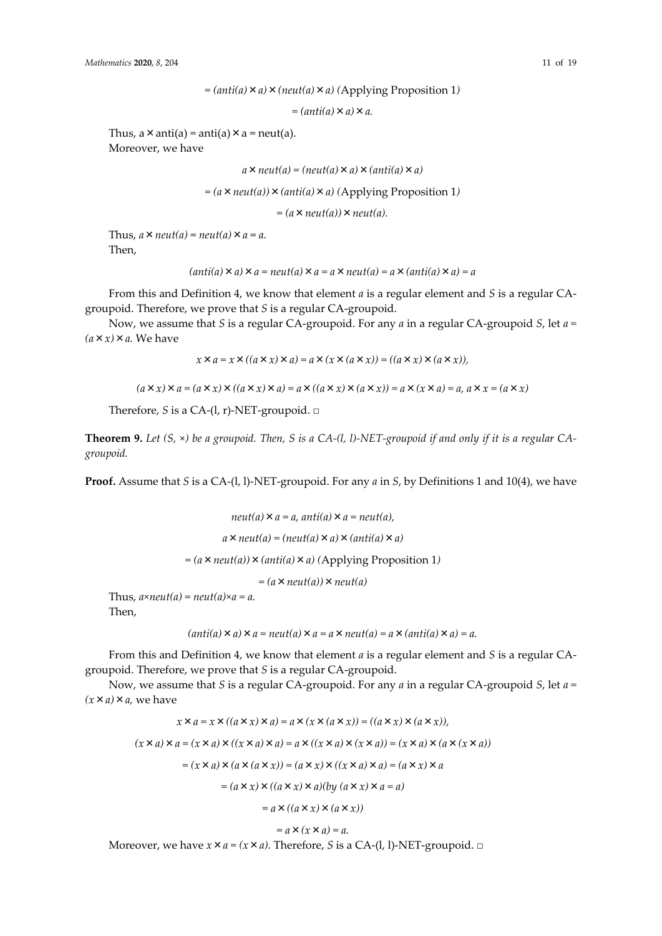*= (anti(a)*×*a)*×*a.*

Thus,  $a \times \text{anti}(a) = \text{anti}(a) \times a = \text{neut}(a)$ . Moreover, we have

 $a \times \textit{neut}(a) = (\textit{neut}(a) \times a) \times (\textit{anti}(a) \times a)$ 

 $= (a \times \text{neut}(a)) \times (\text{anti}(a) \times a)$  (Applying Proposition 1)

 $= (a \times neut(a)) \times neut(a).$ 

Thus,  $a \times \text{neut}(a) = \text{neut}(a) \times a = a$ . Then,

```
(\text{anti}(a) \times a) \times a = \text{neut}(a) \times a = a \times \text{neut}(a) = a \times (\text{anti}(a) \times a) = a
```
From this and Definition 4, we know that element *a* is a regular element and *S* is a regular CAgroupoid. Therefore, we prove that *S* is a regular CA-groupoid.

Now, we assume that *S* is a regular CA-groupoid. For any *a* in a regular CA-groupoid *S*, let *a =*   $(a \times x) \times a$ . We have

 $\chi \times a = \chi \times ((a \times \chi) \times a) = a \times (\chi \times (a \times \chi)) = ((a \times \chi) \times (a \times \chi))$ 

 $(a \times x) \times a = (a \times x) \times ((a \times x) \times a) = a \times ((a \times x) \times (a \times x)) = a \times (x \times a) = a, a \times x = (a \times x)$ 

Therefore, *S* is a CA-(l, r)-NET-groupoid. □

**Theorem 9.** *Let (S,* ×*) be a groupoid. Then, S is a CA-(l, l)-NET-groupoid if and only if it is a regular CAgroupoid.* 

**Proof.** Assume that *S* is a CA-(l, l)-NET-groupoid. For any *a* in *S*, by Definitions 1 and 10(4), we have

$$
neut(a) \times a = a, anti(a) \times a = neut(a),
$$
  

$$
a \times neut(a) = (neut(a) \times a) \times (anti(a) \times a)
$$
  

$$
= (a \times neut(a)) \times (anti(a) \times a) \text{ (Applying Proposition 1)}
$$
  

$$
= (a \times neut(a)) \times neut(a)
$$

Thus,  $a \times neut(a) = neut(a) \times a = a$ . Then,

 $(\text{anti}(a) \times a) \times a = \text{neut}(a) \times a = a \times \text{neut}(a) = a \times (\text{anti}(a) \times a) = a$ .

From this and Definition 4, we know that element *a* is a regular element and *S* is a regular CAgroupoid. Therefore, we prove that *S* is a regular CA-groupoid.

Now, we assume that *S* is a regular CA-groupoid. For any *a* in a regular CA-groupoid *S*, let *a = (x*×*a)*×*a,* we have

$$
x \times a = x \times ((a \times x) \times a) = a \times (x \times (a \times x)) = ((a \times x) \times (a \times x)),
$$
  

$$
(x \times a) \times a = (x \times a) \times ((x \times a) \times a) = a \times ((x \times a) \times (x \times a)) = (x \times a) \times (a \times (x \times a))
$$
  

$$
= (x \times a) \times (a \times (a \times x)) = (a \times x) \times ((x \times a) \times a) = (a \times x) \times a
$$
  

$$
= (a \times x) \times ((a \times x) \times a)(by (a \times x) \times a = a)
$$
  

$$
= a \times ((a \times x) \times (a \times x))
$$

$$
= a \times (x \times a) = a.
$$

Moreover, we have  $x \times a = (x \times a)$ . Therefore, *S* is a CA-(l, l)-NET-groupoid. □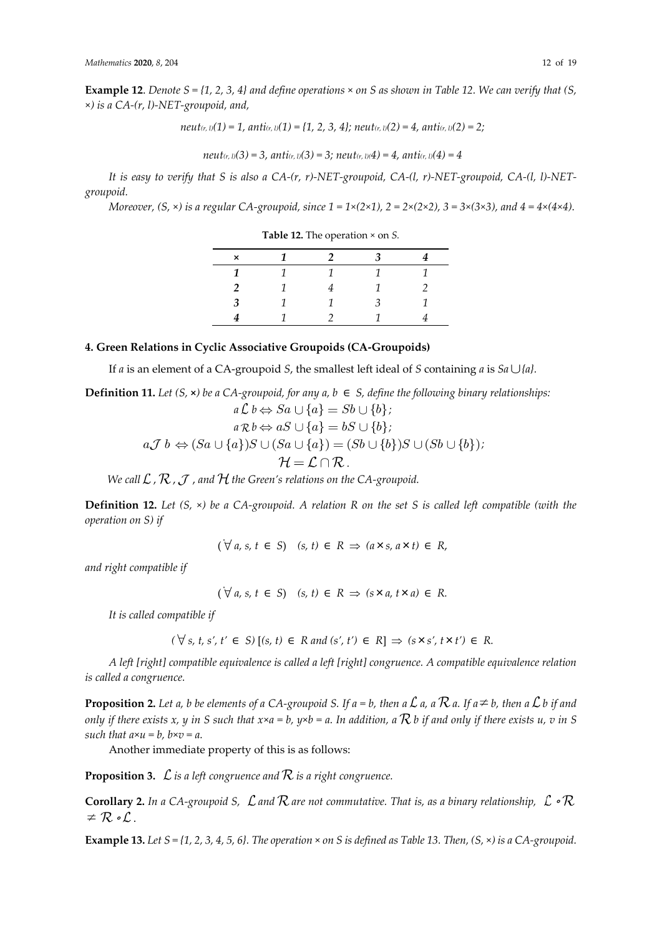**Example 12.** Denote  $S = \{1, 2, 3, 4\}$  and define operations  $\times$  on S as shown in Table 12. We can verify that (S, ×*) is a CA-(r, l)-NET-groupoid, and,*

*neut*<sub>(r, l)</sub>(1) = 1, anti<sub>(r, l)</sub>(1) = {1, 2, 3, 4}; neut<sub>(r, l)</sub>(2) = 4, anti<sub>(r, l)</sub>(2) = 2;

*neut(r, l)(3) = 3, anti(r, l)(3) = 3; neut(r, l)(4) = 4, anti(r, l)(4) = 4*

*It is easy to verify that S is also a CA-(r, r)-NET-groupoid, CA-(l, r)-NET-groupoid, CA-(l, l)-NETgroupoid.*

*Moreover, (S,*  $\times$ *) is a regular CA-groupoid, since*  $1 = 1 \times (2 \times 1)$ ,  $2 = 2 \times (2 \times 2)$ ,  $3 = 3 \times (3 \times 3)$ , and  $4 = 4 \times (4 \times 4)$ .

| $\mathsf{x}$ |   | $\mathcal{P}$ | 3 |   |
|--------------|---|---------------|---|---|
| 1            | 1 |               |   |   |
|              |   |               | 1 | 2 |
| 3            |   |               | 3 | 1 |
|              |   |               |   |   |

**Table 12.** The operation × on *S.*

# **4. Green Relations in Cyclic Associative Groupoids (CA-Groupoids)**

If *a* is an element of a CA-groupoid *S*, the smallest left ideal of *S* containing *a* is  $Sa \cup \{a\}$ .

**Definition 11.** *Let*  $(S, ∞)$  *be a*  $CA$ -groupoid, for any  $a, b ∈ S$ , define the following binary relationships:  $a \mathcal{L}$   $b \Leftrightarrow Sa \cup \{a\} = Sb \cup \{b\}$  ;  $a \mathcal{R} b \Leftrightarrow aS \cup \{a\} = bS \cup \{b\};$  $a\mathcal{J} \ b \Leftrightarrow (Sa\cup \{a\})S\cup (Sa\cup \{a\})=(Sb\cup \{b\})S\cup (Sb\cup \{b\})$ ;

$$
\mathcal{H}=\mathcal{L}\cap\mathcal{R}\,.
$$

*We call*  $\mathcal{L}$ ,  $\mathcal{R}$ ,  $\mathcal{J}$ , and  $\mathcal{H}$  the Green's relations on the CA-groupoid.

**Definition 12.** Let (S,  $\times$ ) be a CA-groupoid. A relation R on the set S is called left compatible (with the *operation on S) if*

 $(\forall a, s, t \in S)$   $(s, t) \in R \Rightarrow (a \times s, a \times t) \in R$ 

*and right compatible if*

 $(\forall a, s, t \in S)$   $(s, t) \in R \implies (s \times a, t \times a) \in R$ .

*It is called compatible if*

 $($   $\forall$  *s*, *t*, *s'*, *t'* ∈ *S*) [(*s*, *t*) ∈ *R* and (*s'*, *t'*) ∈ *R*]  $\Rightarrow$  (*s*×*s'*, *t*×*t'*) ∈ *R*.

*A left [right] compatible equivalence is called a left [right] congruence. A compatible equivalence relation is called a congruence.*

**Proposition 2.** Let a, b be elements of a CA-groupoid S. If  $a = b$ , then a  $\mathcal L$  a, a  $\mathcal R$  a. If  $a \neq b$ , then a  $\mathcal L$  b if and *only if there exists x, y in S such that*  $x \times a = b$ *,*  $y \times b = a$ *. In addition, a*  $\mathcal R$  *b if and only if there exists u, v in S such that*  $a \times u = b$ *,*  $b \times v = a$ *.* 

Another immediate property of this is as follows:

**Proposition 3.**  $\mathcal{L}$  is a left congruence and  $\mathcal{R}$  is a right congruence.

**Corollary 2.** In a CA-groupoid S,  $\mathcal{L}$  and  $\mathcal{R}$  are not commutative. That is, as a binary relationship,  $\mathcal{L} \circ \mathcal{R}$  $\circ$  .

**Example 13.** Let  $S = \{1, 2, 3, 4, 5, 6\}$ . The operation  $\times$  on S is defined as Table 13. Then,  $(S, \times)$  is a CA-groupoid.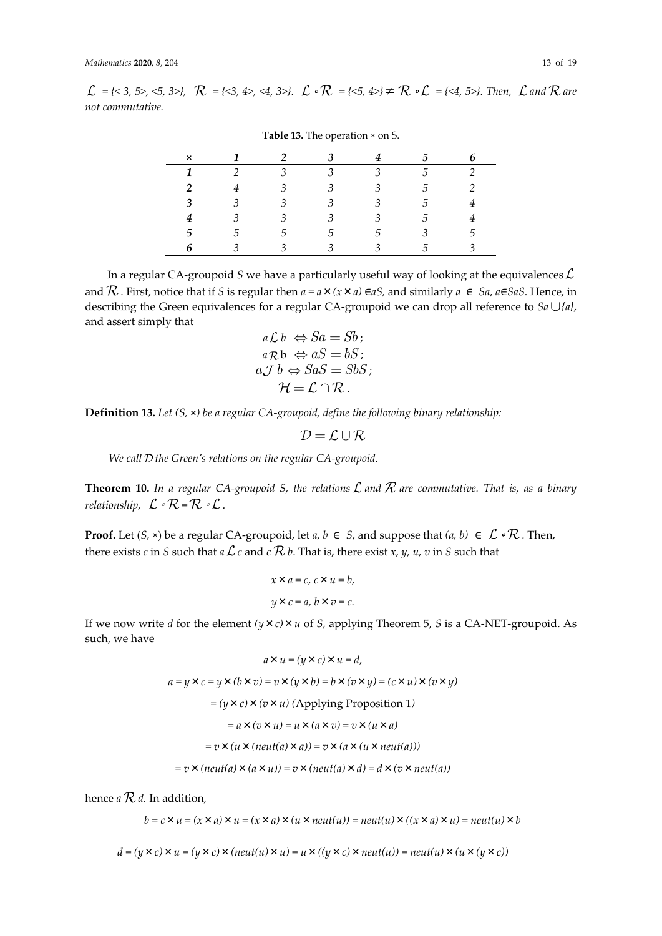$\mathcal{L} = \{ \langle 3, 5 \rangle, \langle 5, 3 \rangle \}, \quad \mathcal{R} = \{ \langle 3, 4 \rangle, \langle 4, 3 \rangle \}. \quad \mathcal{L} \circ \mathcal{R} = \{ \langle 5, 4 \rangle \} \neq \mathcal{R} \circ \mathcal{L} = \{ \langle 4, 5 \rangle \}.$  Then,  $\mathcal{L}$  and  $\mathcal{R}$  are *not commutative.*

| rable 10. The operation on S. |   |               |    |                         |    |  |  |
|-------------------------------|---|---------------|----|-------------------------|----|--|--|
| ×                             |   |               |    |                         | h  |  |  |
|                               |   | 3             |    | 3                       | .h |  |  |
| 2                             |   | 3             |    | R                       | 5  |  |  |
| 3                             | 3 | 3             | 3  | 3                       | .5 |  |  |
|                               |   | 3             |    | 3                       | .5 |  |  |
| 5                             | G | $\mathcal{D}$ | .5 | .h                      | 3  |  |  |
|                               |   |               |    | $\overline{\mathbf{3}}$ | .5 |  |  |

**Table 13.** The operation × on S.

In a regular CA-groupoid *S* we have a particularly useful way of looking at the equivalences  $\mathcal{L}$ and  $\mathcal R$ . First, notice that if *S* is regular then  $a = a \times (x \times a) \in aS$ , and similarly  $a \in Sa$ ,  $a \in SaS$ . Hence, in describing the Green equivalences for a regular CA-groupoid we can drop all reference to  $Sa \cup \{a\}$ , and assert simply that

$$
a \mathcal{L} b \Leftrightarrow Sa = Sb;
$$
  
\n
$$
a \mathcal{R} b \Leftrightarrow aS = bS;
$$
  
\n
$$
a \mathcal{J} b \Leftrightarrow SaS = SbS;
$$
  
\n
$$
\mathcal{H} = \mathcal{L} \cap \mathcal{R}.
$$

**Definition 13.** *Let (S,* **×***) be a regular CA-groupoid, define the following binary relationship:*

$$
\mathcal{D} = \mathcal{L} \cup \mathcal{R}
$$

*We call the Green's relations on the regular CA-groupoid.*

**Theorem 10.** In a regular CA-groupoid S, the relations  $\mathcal L$  and  $\mathcal R$  are commutative. That is, as a binary *relationship,*  $\mathcal{L} \circ \mathcal{R} = \mathcal{R} \circ \mathcal{L}$ .

**Proof.** Let  $(S, \times)$  be a regular CA-groupoid, let  $a, b \in S$ , and suppose that  $(a, b) \in \mathcal{L} \circ \mathcal{R}$ . Then, there exists *c* in *S* such that *a*  $\mathcal{L}$  *c* and *c*  $\mathcal{R}$  *b*. That is, there exist *x*, *y*, *u*, *v* in *S* such that

$$
x \times a = c, c \times u = b,
$$
  

$$
y \times c = a, b \times v = c.
$$

If we now write *d* for the element *(y*×*c)*×*u* of *S*, applying Theorem 5, *S* is a CA-NET-groupoid. As such, we have

$$
a \times u = (y \times c) \times u = d,
$$
  
\n
$$
a = y \times c = y \times (b \times v) = v \times (y \times b) = b \times (v \times y) = (c \times u) \times (v \times y)
$$
  
\n
$$
= (y \times c) \times (v \times u) \text{ (Applying Proposition 1)}
$$
  
\n
$$
= a \times (v \times u) = u \times (a \times v) = v \times (u \times a)
$$
  
\n
$$
= v \times (u \times (neut(a) \times a)) = v \times (a \times (u \times neut(a)))
$$
  
\n
$$
= v \times (neut(a) \times (a \times u)) = v \times (neut(a) \times d) = d \times (v \times neut(a))
$$

hence  $a \mathcal{R} d$ . In addition,

$$
b = c \times u = (x \times a) \times u = (x \times a) \times (u \times neutr(u)) = neutr(u) \times ((x \times a) \times u) = neutr(u) \times b
$$

 $d = (y \times c) \times u = (y \times c) \times (neut(u) \times u) = u \times ((y \times c) \times neut(u)) = neut(u) \times (u \times (y \times c))$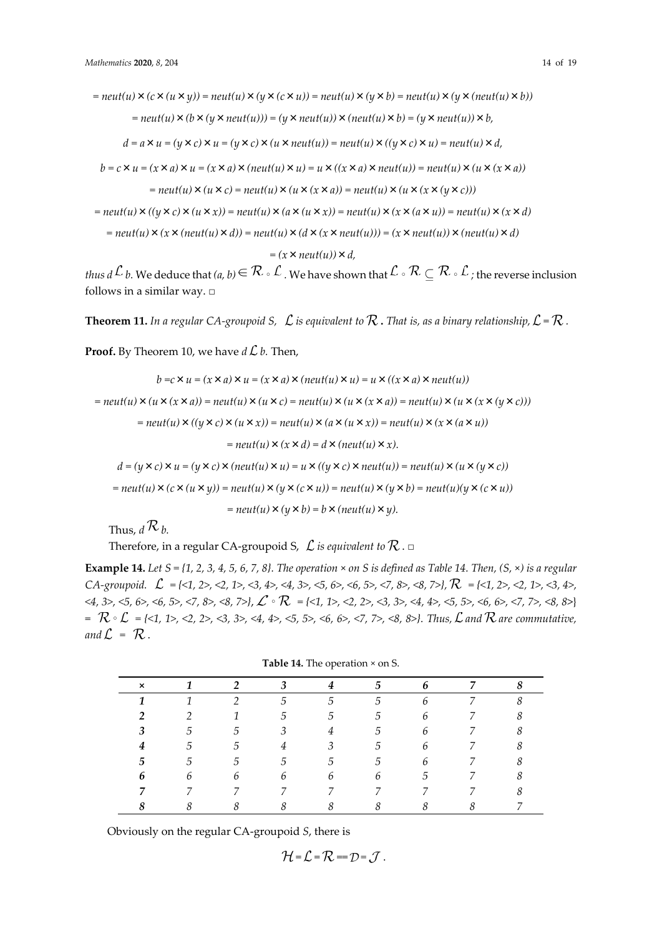$=$  *neut*(*u*)  $\times$  (*c*  $\times$  (*u*  $\times$ *y*)) = *neut*(*u*)  $\times$  (*x*  $\times$ *u*)) = *neut*(*u*)  $\times$  (*y*)  $\times$  (*x*)  $\times$  (*x*)  $\times$  (*x*))

$$
=neut(u) \times (b \times (y \times neut(u))) = (y \times neut(u)) \times (neut(u) \times b) = (y \times neut(u)) \times b,
$$

$$
d = a \times u = (y \times c) \times u = (y \times c) \times (u \times neut(u)) = neut(u) \times ((y \times c) \times u) = neut(u) \times d,
$$

$$
b = c \times u = (x \times a) \times u = (x \times a) \times (neut(u) \times u) = u \times ((x \times a) \times neut(u)) = neut(u) \times (u \times (x \times a))
$$

$$
=neut(u) \times (u \times c) = neut(u) \times (u \times (x \times a)) = neut(u) \times (u \times (x \times (y \times c)))
$$

 $=$  *neut*(*u*)  $\times$  ((*y*  $\times$  *c*)  $\times$  (*u*  $\times$  *x*)) = *neut*(*u*)  $\times$  (*x*  $\times$  *x*) = *neut*(*u*)  $\times$  (*x*  $\times$  *d*)  $\times$  (*x*  $\times$  *d*)

 $=$  *neut*(*u*)  $\times$  (*x*  $\times$  (*neut*(*u*)  $\times$  *d*)) = *neut*(*u*)  $\times$  (*d*  $\times$  (*x*  $\times$  *neut*(*u*))) = (*x*  $\times$  *neut*(*u*))  $\times$  (*neut*(*u*)  $\times$  *d*)

*= (x*×*neut(u))*×*d,*

*thus d*  $\mathcal L$  *b.* We deduce that  $(a, b) \in \mathcal R \circ \mathcal L$  . We have shown that  $\mathcal L \circ \mathcal R \subseteq \mathcal R \circ \mathcal L$  ; the reverse inclusion follows in a similar way.  $\Box$ 

**Theorem 11.** In a regular CA-groupoid S,  $\mathcal{L}$  is equivalent to  $\mathcal{R}$ . That is, as a binary relationship,  $\mathcal{L} = \mathcal{R}$ .

**Proof.** By Theorem 10, we have  $d\mathcal{L}b$ . Then,

$$
b = c \times u = (x \times a) \times u = (x \times a) \times (neut(u) \times u) = u \times ((x \times a) \times neut(u))
$$
  
=  $neut(u) \times (u \times (x \times a)) = neut(u) \times (u \times c) = neut(u) \times (u \times (x \times a)) = neut(u) \times (u \times (x \times (y \times c)))$   
=  $neut(u) \times ((y \times c) \times (u \times x)) = neut(u) \times (a \times (u \times x)) = neut(u) \times (x \times (a \times u))$   
=  $neut(u) \times (x \times d) = d \times (neut(u) \times x).$   

$$
d = (y \times c) \times u = (y \times c) \times (neut(u) \times u) = u \times ((y \times c) \times neut(u)) = neut(u) \times (u \times (y \times c))
$$
  
=  $neut(u) \times (c \times (u \times y)) = neut(u) \times (y \times (c \times u)) = neut(u) \times (y \times b) = neut(u)(y \times (c \times u))$ 

 $=$  *neut*(*u*)  $\times$  (*y*  $\times$  *b*)  $=$  *b*  $\times$  (*neut*(*u*)  $\times$  *y*).

Thus,  $d \mathcal{R}_h$ .

Therefore, in a regular CA-groupoid S,  $\mathcal L$  *is equivalent to*  $\mathcal R$ .  $\Box$ 

**Example 14.** Let  $S = \{1, 2, 3, 4, 5, 6, 7, 8\}$ . The operation  $\times$  on S is defined as Table 14. Then,  $(S, \times)$  is a regular *CA-groupoid. = {<1, 2>, <2, 1>, <3, 4>, <4, 3>, <5, 6>, <6, 5>, <7, 8>, <8, 7>}, = {<1, 2>, <2, 1>, <3, 4>, <4, 3>, <5, 6>, <6, 5>, <7, 8>, <8, 7>}*, ∘ *= {<1, 1>, <2, 2>, <3, 3>, <4, 4>, <5, 5>, <6, 6>, <7, 7>, <8, 8*>} = ∘ *= {<1, 1>, <2, 2>, <3, 3>, <4, 4>, <5, 5>, <6, 6>, <7, 7>, <8, 8>}. Thus, and are commutative,*  and  $\mathcal{L} = \mathcal{R}$ .

|  | Table 14. The operation × on S. |
|--|---------------------------------|
|--|---------------------------------|

| $\times$ |               | 2             | $\boldsymbol{\beta}$ | 4             | 5              | 6 | $\overline{7}$ | ō |
|----------|---------------|---------------|----------------------|---------------|----------------|---|----------------|---|
|          |               | $\mathcal{P}$ | 5                    | $\mathcal{F}$ | $\mathcal{D}$  | 6 |                | 8 |
|          | $\mathcal{P}$ |               | 5                    | 5             | 5.             | 6 |                |   |
|          | 5             | 5             | 3                    | 4             | $\mathcal{L}$  | 6 |                |   |
| 4        | 5             | 5             | 4                    | 3             | $\mathcal{L}$  | 6 |                |   |
| 5.       | 5             | 5             | 5                    | $\mathcal{D}$ | $\overline{5}$ | 6 |                |   |
| 6        | 6             | 6             | 6                    | 6             | b              | 5 |                |   |
|          |               | 7             |                      |               |                |   |                |   |
|          | 8             | 8             | 8                    | 8             |                | 8 |                |   |

Obviously on the regular CA-groupoid *S*, there is

$$
\mathcal{H} = \mathcal{L} = \mathcal{R} = \mathcal{D} = \mathcal{J}.
$$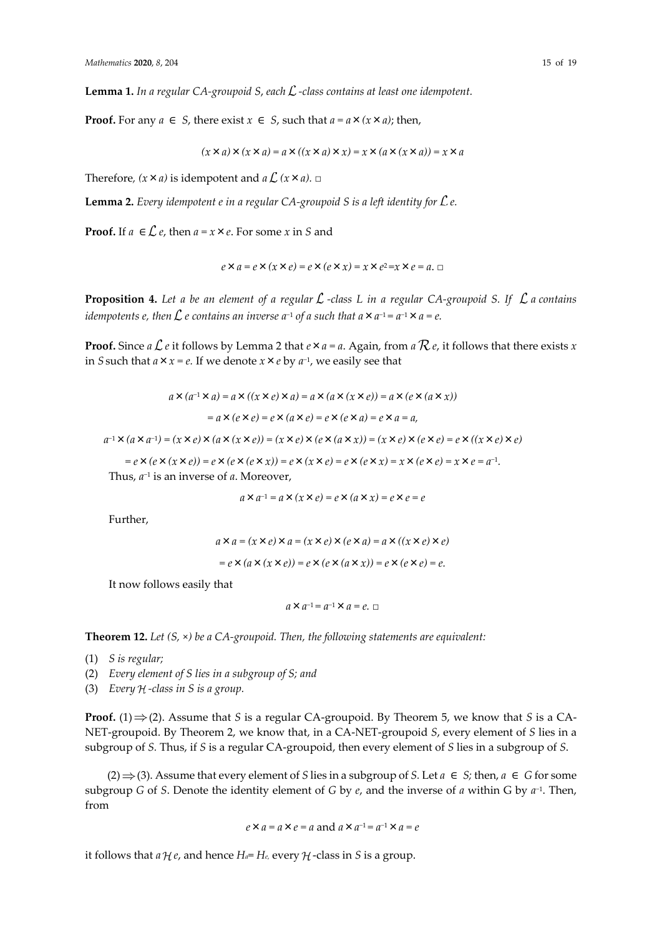**Lemma 1.** *In a regular CA-groupoid S*, *each -class contains at least one idempotent.*

**Proof.** For any *a* ∈ *S*, there exist *x* ∈ *S*, such that *a* =  $a$  ×  $(x \times a)$ ; then,

$$
(x \times a) \times (x \times a) = a \times ((x \times a) \times x) = x \times (a \times (x \times a)) = x \times a
$$

Therefore,  $(x \times a)$  is idempotent and  $a \mathcal{L}$   $(x \times a)$ . □

**Lemma 2.** *Every idempotent e in a regular CA-groupoid S is a left identity for e.*

**Proof.** If  $a \in \mathcal{L}$  *e*, then  $a = x \times e$ . For some *x* in *S* and

 $e \times a = e \times (x \times e) = e \times (e \times x) = x \times e^2 = x \times e = a$ . □

**Proposition 4.** Let a be an element of a regular  $\mathcal{L}$ -class L in a regular CA-groupoid S. If  $\mathcal{L}$  a contains *idempotents e, then*  $L$  *e contains an inverse a<sup>−1</sup> of a such that a×a<sup>−1</sup> = a<sup>−1</sup>×a = e.* 

**Proof.** Since  $a \mathcal{L} e$  it follows by Lemma 2 that  $e \times a = a$ . Again, from  $a \mathcal{R} e$ , it follows that there exists  $x$ in *S* such that  $a \times x = e$ . If we denote  $x \times e$  by  $a^{-1}$ , we easily see that

$$
a \times (a^{-1} \times a) = a \times ((x \times e) \times a) = a \times (a \times (x \times e)) = a \times (e \times (a \times x))
$$
  
=  $a \times (e \times e) = e \times (a \times e) = e \times (e \times a) = e \times a = a$ ,

*a*<sup>-1</sup> × (*a* × *a*<sup>-1</sup>) = (*x* × *e*) × (*a* × (*x* × *e*)) = (*x* × *e*) × (*e* × (*a* × *x*)) = (*x* × *e*) × (*e* × *e*) = *e* × ((*x* × *e*) × *e*)

*= e* **×** (*e* **×** (*x* **×** *e*)) = *e* **×** (*e* **×** (*e* **×** *x*)) = *e* **×** (*x* **×** *e*) = *e* **×** (*e* **×** *x*) = *x* **×** *e* = *a*<sup>−1</sup>.

Thus, *a −*1 is an inverse of *a*. Moreover,

$$
a \times a^{-1} = a \times (x \times e) = e \times (a \times x) = e \times e = e
$$

Further,

$$
a \times a = (x \times e) \times a = (x \times e) \times (e \times a) = a \times ((x \times e) \times e)
$$

$$
= e \times (a \times (x \times e)) = e \times (e \times (a \times x)) = e \times (e \times e) = e.
$$

It now follows easily that

$$
a\times a^{-1}\!=a^{-1}\times a=e.\ \Box
$$

**Theorem 12.** *Let (S,* ×*) be a CA-groupoid. Then, the following statements are equivalent:*

- (1) *S is regular;*
- (2) *Every element of S lies in a subgroup of S; and*
- (3) *Every -class in S is a group.*

**Proof.** (1)  $\Rightarrow$  (2). Assume that *S* is a regular CA-groupoid. By Theorem 5, we know that *S* is a CA-NET-groupoid. By Theorem 2, we know that, in a CA-NET-groupoid *S*, every element of *S* lies in a subgroup of *S.* Thus, if *S* is a regular CA-groupoid, then every element of *S* lies in a subgroup of *S*.

(2)  $\Rightarrow$  (3). Assume that every element of *S* lies in a subgroup of *S*. Let  $a \in S$ ; then,  $a \in G$  for some subgroup *G* of *S*. Denote the identity element of *G* by *e*, and the inverse of *a* within G by *a −*1 . Then, from

$$
e \times a = a \times e = a
$$
 and  $a \times a^{-1} = a^{-1} \times a = e$ 

it follows that  $a \mathcal{H}e$ , and hence  $H_a = H_e$ , every  $\mathcal{H}$ -class in *S* is a group.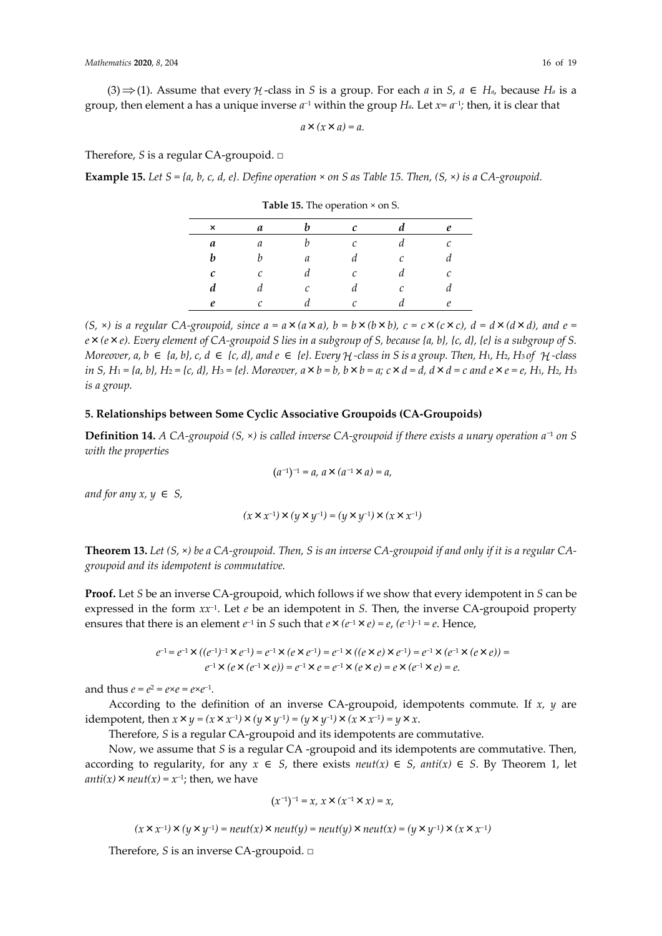$(3) \Rightarrow (1)$ . Assume that every  $\mathcal{H}$ -class in *S* is a group. For each *a* in *S*,  $a \in H_a$ , because  $H_a$  is a group, then element a has a unique inverse *a <sup>−</sup>*<sup>1</sup> within the group *Ha.* Let *x= a−*<sup>1</sup> *;* then, it is clear that

 $a \times (x \times a) = a$ .

Therefore, *S* is a regular CA-groupoid. □

**Example 15.** Let  $S = \{a, b, c, d, e\}$ . Define operation  $\times$  on S as Table 15. Then,  $(S, \times)$  is a CA-groupoid.

| ×                 | a             | h | $\mathcal{C}$ |               | e |
|-------------------|---------------|---|---------------|---------------|---|
| a                 | $\mathfrak a$ | b | Ċ             | и             | С |
| h                 |               | а | d             | $\mathcal{C}$ |   |
| $\mathcal{C}_{0}$ | C             | а | C             | а             | С |
| d                 |               | C | a             | r             |   |
| ρ                 |               |   |               |               | e |

**Table 15.** The operation × on S.

 $(S, \times)$  is a regular CA-groupoid, since  $a = a \times (a \times a)$ ,  $b = b \times (b \times b)$ ,  $c = c \times (c \times c)$ ,  $d = d \times (d \times d)$ , and  $e =$ *e*×*(e*×*e). Every element of CA-groupoid S lies in a subgroup of S, because {a, b}, {c, d}, {e} is a subgroup of S. Moreover, a, b*  $\in$  *{a, b}, c, d*  $\in$  *{c, d}, and*  $e \in$  *{e}. Every*  $H$ -class in S is a group. Then,  $H_1$ ,  $H_2$ ,  $H_3$  of  $H$ -class in S, H<sub>1</sub> = {a, b}, H<sub>2</sub> = {c, d}, H<sub>3</sub> = {e}. Moreover,  $a \times b = b$ ,  $b \times b = a$ ;  $c \times d = d$ ,  $d \times d = c$  and  $e \times e = e$ , H<sub>1</sub>, H<sub>2</sub>, H<sub>3</sub> *is a group.*

#### **5. Relationships between Some Cyclic Associative Groupoids (CA-Groupoids)**

**Definition 14.** *A CA-groupoid (S,* ×*) is called inverse CA-groupoid if there exists a unary operation a* <sup>−</sup><sup>1</sup> *on S with the properties*

$$
(a^{-1})^{-1} = a, \, a \times (a^{-1} \times a) = a,
$$

*and for any*  $x, y \in S$ *,* 

$$
(x \times x^{-1}) \times (y \times y^{-1}) = (y \times y^{-1}) \times (x \times x^{-1})
$$

**Theorem 13.** *Let (S,* ×*) be a CA-groupoid. Then, S is an inverse CA-groupoid if and only if it is a regular CAgroupoid and its idempotent is commutative.*

**Proof.** Let *S* be an inverse CA-groupoid, which follows if we show that every idempotent in *S* can be expressed in the form *xx−*<sup>1</sup> . Let *e* be an idempotent in *S.* Then, the inverse CA-groupoid property ensures that there is an element  $e^{-1}$  in *S* such that  $e \times (e^{-1} \times e) = e$ ,  $(e^{-1})^{-1} = e$ . Hence,

$$
e^{-1} = e^{-1} \times ((e^{-1})^{-1} \times e^{-1}) = e^{-1} \times (e \times e^{-1}) = e^{-1} \times ((e \times e) \times e^{-1}) = e^{-1} \times (e^{-1} \times (e \times e)) =
$$
  
\n
$$
e^{-1} \times (e \times (e^{-1} \times e)) = e^{-1} \times e = e^{-1} \times (e \times e) = e \times (e^{-1} \times e) = e.
$$

and thus  $e = e^2 = e \times e = e \times e^{-1}$ *.* 

According to the definition of an inverse CA-groupoid, idempotents commute. If *x, y* are idempotent, then  $x \times y = (x \times x^{-1}) \times (y \times y^{-1}) = (y \times y^{-1}) \times (x \times x^{-1}) = y \times x$ .

Therefore, *S* is a regular CA-groupoid and its idempotents are commutative.

Now, we assume that *S* is a regular CA -groupoid and its idempotents are commutative. Then, according to regularity, for any  $x \in S$ , there exists  $neut(x) \in S$ ,  $anti(x) \in S$ . By Theorem 1, let  $\text{anti}(x) \times \text{neut}(x) = x^{-1}$ ; then, we have

$$
(x^{-1})^{-1}=x,\ x\times(x^{-1}\times x)=x,
$$

$$
(x \times x^{-1}) \times (y \times y^{-1}) = neutr(x) \times neutr(y) = neutr(y) \times neutr(x) = (y \times y^{-1}) \times (x \times x^{-1})
$$

Therefore, *S* is an inverse CA-groupoid. □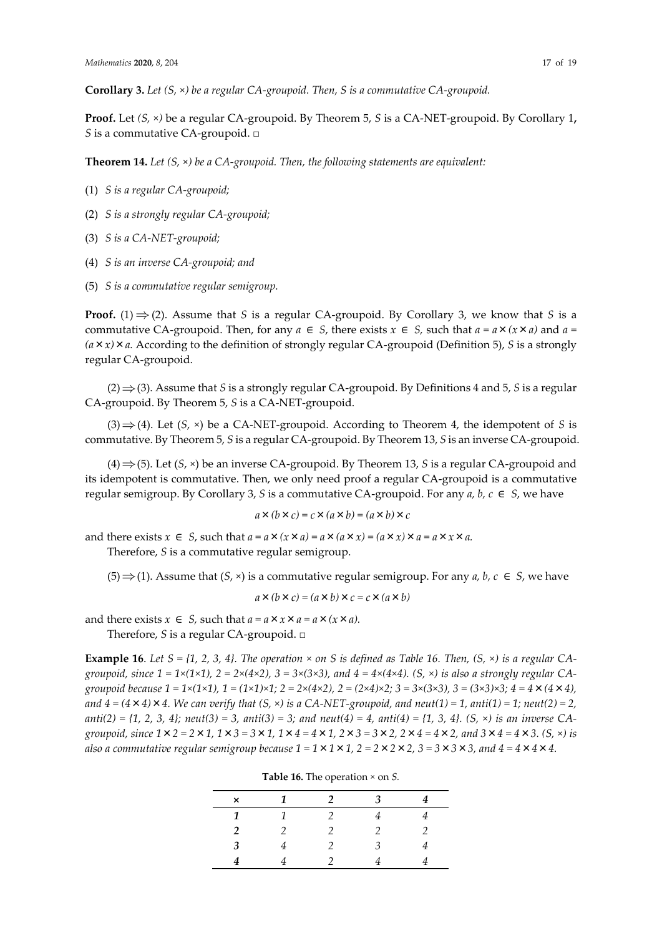**Proof.** Let *(S,* ×*)* be a regular CA-groupoid. By Theorem 5, *S* is a CA-NET-groupoid. By Corollary 1**,**  *S* is a commutative CA-groupoid. □

**Theorem 14.** *Let (S,* ×*) be a CA-groupoid. Then, the following statements are equivalent:*

- (1) *S is a regular CA-groupoid;*
- (2) *S is a strongly regular CA-groupoid;*
- (3) *S is a CA-NET-groupoid;*
- (4) *S is an inverse CA-groupoid; and*
- (5) *S is a commutative regular semigroup.*

**Proof.** (1)  $\Rightarrow$  (2). Assume that *S* is a regular CA-groupoid. By Corollary 3, we know that *S* is a commutative CA-groupoid. Then, for any  $a \in S$ , there exists  $x \in S$ , such that  $a = a \times (x \times a)$  and  $a = a$  $(a \times x) \times a$ . According to the definition of strongly regular CA-groupoid (Definition 5), *S* is a strongly regular CA-groupoid.

 $(2) \Rightarrow$  (3). Assume that *S* is a strongly regular CA-groupoid. By Definitions 4 and 5, *S* is a regular CA-groupoid. By Theorem 5, *S* is a CA-NET-groupoid.

(3)  $\Rightarrow$  (4). Let (*S*,  $\times$ ) be a CA-NET-groupoid. According to Theorem 4, the idempotent of *S* is commutative. By Theorem 5, *S* is a regular CA-groupoid. By Theorem 13, *S* is an inverse CA-groupoid.

 $(4) \Rightarrow$  (5). Let (*S*,  $\times$ ) be an inverse CA-groupoid. By Theorem 13, *S* is a regular CA-groupoid and its idempotent is commutative. Then, we only need proof a regular CA-groupoid is a commutative regular semigroup. By Corollary 3, *S* is a commutative CA-groupoid. For any *a, b, c* ∈ *S*, we have

$$
a \times (b \times c) = c \times (a \times b) = (a \times b) \times c
$$

and there exists  $x \in S$ , such that  $a = a \times (x \times a) = a \times (a \times x) = (a \times x) \times a = a \times x \times a$ .

Therefore, *S* is a commutative regular semigroup.

(5)  $\Rightarrow$  (1). Assume that (*S*, ×) is a commutative regular semigroup. For any *a*, *b*, *c* ∈ *S*, we have

$$
a \times (b \times c) = (a \times b) \times c = c \times (a \times b)
$$

and there exists  $x \in S$ , such that  $a = a \times x \times a = a \times (x \times a)$ .

Therefore, *S* is a regular CA-groupoid. □

**Example 16**. Let  $S = \{1, 2, 3, 4\}$ . The operation  $\times$  on S is defined as Table 16. Then,  $(S, \times)$  is a regular CA*groupoid,* since  $1 = 1 \times (1 \times 1)$ ,  $2 = 2 \times (4 \times 2)$ ,  $3 = 3 \times (3 \times 3)$ , and  $4 = 4 \times (4 \times 4)$ . (S,  $\times$ ) is also a strongly regular CA*groupoid because 1 = 1×(1×1), 1 = (1×1)×1; 2 = 2×(4×2), 2 = (2×4)×2; 3 = 3*×*(3*×*3), 3 = (3*×*3)*×*3; 4 = 4*×*(4*×*4), and*  $4 = (4 \times 4) \times 4$ . We can verify that  $(S, \times)$  is a CA-NET-groupoid, and neut(1) = 1, anti(1) = 1; neut(2) = 2, *anti(2) = {1, 2, 3, 4}; neut(3) = 3, anti(3) = 3; and neut(4) = 4, anti(4) = {1, 3, 4}. (S,* ×*) is an inverse CAgroupoid, since 1*×*2 = 2*×*1, 1*×*3 = 3*×*1, 1*×*4 = 4*×*1, 2*×*3 = 3*×*2, 2*×*4 = 4*×*2, and 3*×*4 = 4*×*3. (S,* ×*) is also a commutative regular semigroup because*  $1 = 1 \times 1 \times 1$ ,  $2 = 2 \times 2 \times 2$ ,  $3 = 3 \times 3 \times 3$ , and  $4 = 4 \times 4 \times 4$ .

| $\mathsf{x}$   | 1             | $\mathcal{P}$  | $\mathbf{3}$ |   |
|----------------|---------------|----------------|--------------|---|
| 1              | 1             | $\mathfrak{D}$ | 4            | 4 |
| $\overline{2}$ | $\mathcal{P}$ | 2              | 2            | 2 |
| 3              |               | 2              | 3            |   |
|                |               |                |              |   |

**Table 16.** The operation *×* on *S.*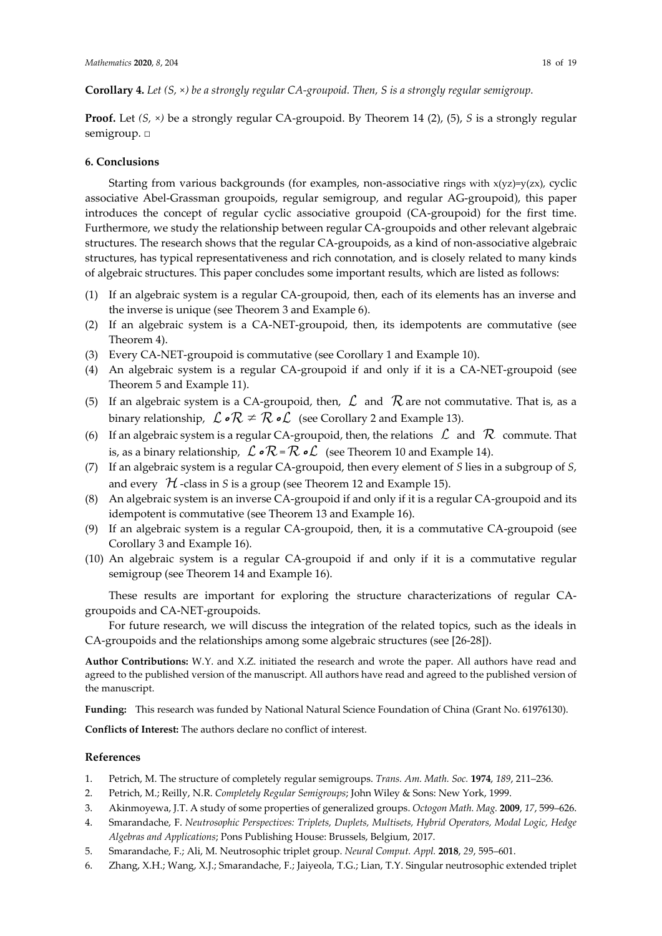**Corollary 4.** *Let (S, ×) be a strongly regular CA-groupoid. Then, S is a strongly regular semigroup.*

**Proof.** Let *(S, ×)* be a strongly regular CA-groupoid. By Theorem 14 (2), (5), *S* is a strongly regular semigroup. □

### **6. Conclusions**

Starting from various backgrounds (for examples, non-associative rings with  $x(yz)=y(zx)$ , cyclic associative Abel-Grassman groupoids, regular semigroup, and regular AG-groupoid), this paper introduces the concept of regular cyclic associative groupoid (CA-groupoid) for the first time. Furthermore, we study the relationship between regular CA-groupoids and other relevant algebraic structures. The research shows that the regular CA-groupoids, as a kind of non-associative algebraic structures, has typical representativeness and rich connotation, and is closely related to many kinds of algebraic structures. This paper concludes some important results, which are listed as follows:

- (1) If an algebraic system is a regular CA-groupoid, then, each of its elements has an inverse and the inverse is unique (see Theorem 3 and Example 6).
- (2) If an algebraic system is a CA-NET-groupoid, then, its idempotents are commutative (see Theorem 4).
- (3) Every CA-NET-groupoid is commutative (see Corollary 1 and Example 10).
- (4) An algebraic system is a regular CA-groupoid if and only if it is a CA-NET-groupoid (see Theorem 5 and Example 11).
- (5) If an algebraic system is a CA-groupoid, then,  $\mathcal L$  and  $\mathcal R$  are not commutative. That is, as a binary relationship,  $\mathcal{L} \cdot \mathcal{R} \neq \mathcal{R} \cdot \mathcal{L}$  (see Corollary 2 and Example 13).
- (6) If an algebraic system is a regular CA-groupoid, then, the relations  $\mathcal L$  and  $\mathcal R$  commute. That is, as a binary relationship,  $\mathcal L \circ \mathcal R = \mathcal R \circ \mathcal L$  (see Theorem 10 and Example 14).
- (7) If an algebraic system is a regular CA-groupoid, then every element of *S* lies in a subgroup of *S*, and every  $H$ -class in *S* is a group (see Theorem 12 and Example 15).
- (8) An algebraic system is an inverse CA-groupoid if and only if it is a regular CA-groupoid and its idempotent is commutative (see Theorem 13 and Example 16).
- (9) If an algebraic system is a regular CA-groupoid, then, it is a commutative CA-groupoid (see Corollary 3 and Example 16).
- (10) An algebraic system is a regular CA-groupoid if and only if it is a commutative regular semigroup (see Theorem 14 and Example 16).

These results are important for exploring the structure characterizations of regular CAgroupoids and CA-NET-groupoids.

For future research, we will discuss the integration of the related topics, such as the ideals in CA-groupoids and the relationships among some algebraic structures (see [26-28]).

**Author Contributions:** W.Y. and X.Z. initiated the research and wrote the paper. All authors have read and agreed to the published version of the manuscript. All authors have read and agreed to the published version of the manuscript.

**Funding:** This research was funded by National Natural Science Foundation of China (Grant No. 61976130).

**Conflicts of Interest:** The authors declare no conflict of interest.

### **References**

- 1. Petrich, M. The structure of completely regular semigroups. *Trans. Am. Math. Soc.* **1974**, *189*, 211–236.
- 2. Petrich, M.; Reilly, N.R. *Completely Regular Semigroups*; John Wiley & Sons: New York, 1999.
- 3. Akinmoyewa, J.T. A study of some properties of generalized groups. *Octogon Math. Mag.* **2009**, *17*, 599–626.
- 4. Smarandache, F. *Neutrosophic Perspectives: Triplets, Duplets, Multisets, Hybrid Operators, Modal Logic, Hedge Algebras and Applications*; Pons Publishing House: Brussels, Belgium, 2017.
- 5. Smarandache, F.; Ali, M. Neutrosophic triplet group. *Neural Comput. Appl.* **2018**, *29*, 595–601.
- 6. Zhang, X.H.; Wang, X.J.; Smarandache, F.; Jaiyeola, T.G.; Lian, T.Y. Singular neutrosophic extended triplet